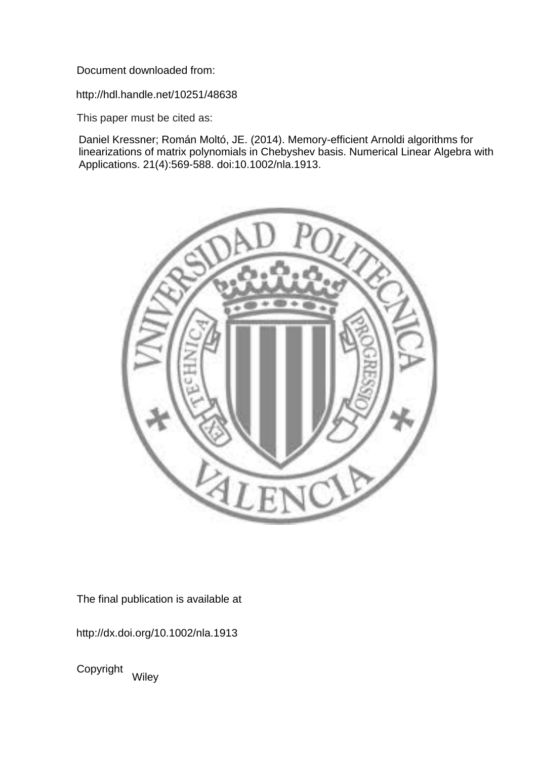Document downloaded from:

http://hdl.handle.net/10251/48638

This paper must be cited as:

Daniel Kressner; Román Moltó, JE. (2014). Memory-efficient Arnoldi algorithms for linearizations of matrix polynomials in Chebyshev basis. Numerical Linear Algebra with Applications. 21(4):569-588. doi:10.1002/nla.1913.



The final publication is available at

http://dx.doi.org/10.1002/nla.1913

Copyright Wiley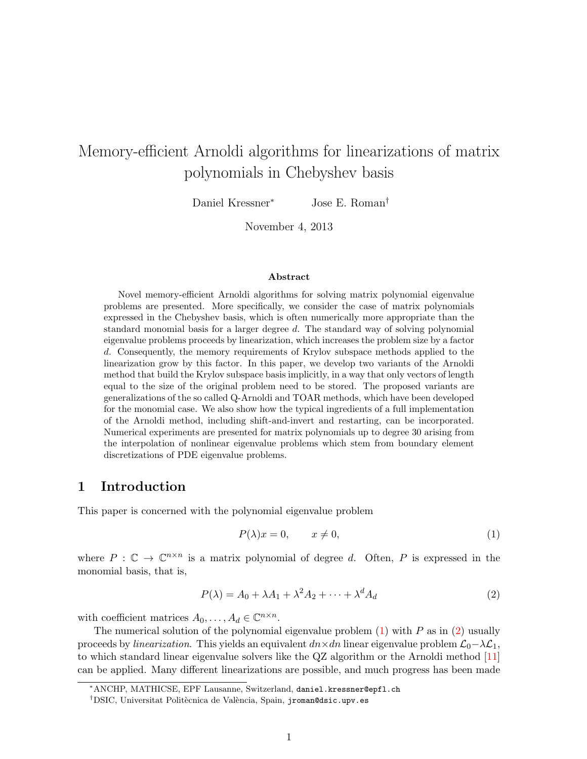# Memory-efficient Arnoldi algorithms for linearizations of matrix polynomials in Chebyshev basis

Daniel Kressner<sup>∗</sup> Jose E. Roman†

November 4, 2013

#### Abstract

Novel memory-efficient Arnoldi algorithms for solving matrix polynomial eigenvalue problems are presented. More specifically, we consider the case of matrix polynomials expressed in the Chebyshev basis, which is often numerically more appropriate than the standard monomial basis for a larger degree d. The standard way of solving polynomial eigenvalue problems proceeds by linearization, which increases the problem size by a factor d. Consequently, the memory requirements of Krylov subspace methods applied to the linearization grow by this factor. In this paper, we develop two variants of the Arnoldi method that build the Krylov subspace basis implicitly, in a way that only vectors of length equal to the size of the original problem need to be stored. The proposed variants are generalizations of the so called Q-Arnoldi and TOAR methods, which have been developed for the monomial case. We also show how the typical ingredients of a full implementation of the Arnoldi method, including shift-and-invert and restarting, can be incorporated. Numerical experiments are presented for matrix polynomials up to degree 30 arising from the interpolation of nonlinear eigenvalue problems which stem from boundary element discretizations of PDE eigenvalue problems.

# 1 Introduction

This paper is concerned with the polynomial eigenvalue problem

<span id="page-1-0"></span>
$$
P(\lambda)x = 0, \qquad x \neq 0,\tag{1}
$$

where  $P : \mathbb{C} \to \mathbb{C}^{n \times n}$  is a matrix polynomial of degree d. Often, P is expressed in the monomial basis, that is,

<span id="page-1-1"></span>
$$
P(\lambda) = A_0 + \lambda A_1 + \lambda^2 A_2 + \dots + \lambda^d A_d \tag{2}
$$

with coefficient matrices  $A_0, \ldots, A_d \in \mathbb{C}^{n \times n}$ .

The numerical solution of the polynomial eigenvalue problem  $(1)$  with P as in  $(2)$  usually proceeds by *linearization*. This yields an equivalent  $dn \times dn$  linear eigenvalue problem  $\mathcal{L}_0 - \lambda \mathcal{L}_1$ , to which standard linear eigenvalue solvers like the QZ algorithm or the Arnoldi method [\[11\]](#page-22-0) can be applied. Many different linearizations are possible, and much progress has been made

<sup>∗</sup>ANCHP, MATHICSE, EPF Lausanne, Switzerland, daniel.kressner@epfl.ch

<sup>&</sup>lt;sup>†</sup>DSIC, Universitat Politècnica de València, Spain, jroman@dsic.upv.es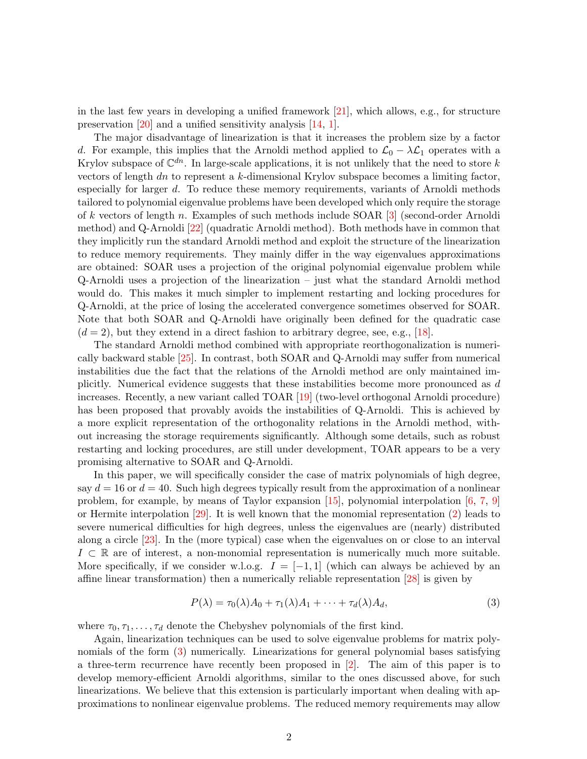in the last few years in developing a unified framework [\[21\]](#page-22-1), which allows, e.g., for structure preservation [\[20\]](#page-22-2) and a unified sensitivity analysis [\[14,](#page-22-3) [1\]](#page-21-0).

The major disadvantage of linearization is that it increases the problem size by a factor d. For example, this implies that the Arnoldi method applied to  $\mathcal{L}_0 - \lambda \mathcal{L}_1$  operates with a Krylov subspace of  $\mathbb{C}^{dn}$ . In large-scale applications, it is not unlikely that the need to store k vectors of length dn to represent a  $k$ -dimensional Krylov subspace becomes a limiting factor, especially for larger d. To reduce these memory requirements, variants of Arnoldi methods tailored to polynomial eigenvalue problems have been developed which only require the storage of k vectors of length n. Examples of such methods include SOAR [\[3\]](#page-21-1) (second-order Arnoldi method) and Q-Arnoldi [\[22\]](#page-22-4) (quadratic Arnoldi method). Both methods have in common that they implicitly run the standard Arnoldi method and exploit the structure of the linearization to reduce memory requirements. They mainly differ in the way eigenvalues approximations are obtained: SOAR uses a projection of the original polynomial eigenvalue problem while Q-Arnoldi uses a projection of the linearization – just what the standard Arnoldi method would do. This makes it much simpler to implement restarting and locking procedures for Q-Arnoldi, at the price of losing the accelerated convergence sometimes observed for SOAR. Note that both SOAR and Q-Arnoldi have originally been defined for the quadratic case  $(d = 2)$ , but they extend in a direct fashion to arbitrary degree, see, e.g., [\[18\]](#page-22-5).

The standard Arnoldi method combined with appropriate reorthogonalization is numerically backward stable [\[25\]](#page-22-6). In contrast, both SOAR and Q-Arnoldi may suffer from numerical instabilities due the fact that the relations of the Arnoldi method are only maintained implicitly. Numerical evidence suggests that these instabilities become more pronounced as d increases. Recently, a new variant called TOAR [\[19\]](#page-22-7) (two-level orthogonal Arnoldi procedure) has been proposed that provably avoids the instabilities of Q-Arnoldi. This is achieved by a more explicit representation of the orthogonality relations in the Arnoldi method, without increasing the storage requirements significantly. Although some details, such as robust restarting and locking procedures, are still under development, TOAR appears to be a very promising alternative to SOAR and Q-Arnoldi.

In this paper, we will specifically consider the case of matrix polynomials of high degree, say  $d = 16$  or  $d = 40$ . Such high degrees typically result from the approximation of a nonlinear problem, for example, by means of Taylor expansion  $[15]$ , polynomial interpolation  $[6, 7, 9]$  $[6, 7, 9]$  $[6, 7, 9]$  $[6, 7, 9]$ or Hermite interpolation [\[29\]](#page-23-0). It is well known that the monomial representation [\(2\)](#page-1-1) leads to severe numerical difficulties for high degrees, unless the eigenvalues are (nearly) distributed along a circle [\[23\]](#page-22-9). In the (more typical) case when the eigenvalues on or close to an interval  $I \subset \mathbb{R}$  are of interest, a non-monomial representation is numerically much more suitable. More specifically, if we consider w.l.o.g.  $I = [-1,1]$  (which can always be achieved by an affine linear transformation) then a numerically reliable representation [\[28\]](#page-23-1) is given by

<span id="page-2-0"></span>
$$
P(\lambda) = \tau_0(\lambda)A_0 + \tau_1(\lambda)A_1 + \dots + \tau_d(\lambda)A_d,
$$
\n(3)

where  $\tau_0, \tau_1, \ldots, \tau_d$  denote the Chebyshev polynomials of the first kind.

Again, linearization techniques can be used to solve eigenvalue problems for matrix polynomials of the form  $(3)$  numerically. Linearizations for general polynomial bases satisfying a three-term recurrence have recently been proposed in [\[2\]](#page-21-5). The aim of this paper is to develop memory-efficient Arnoldi algorithms, similar to the ones discussed above, for such linearizations. We believe that this extension is particularly important when dealing with approximations to nonlinear eigenvalue problems. The reduced memory requirements may allow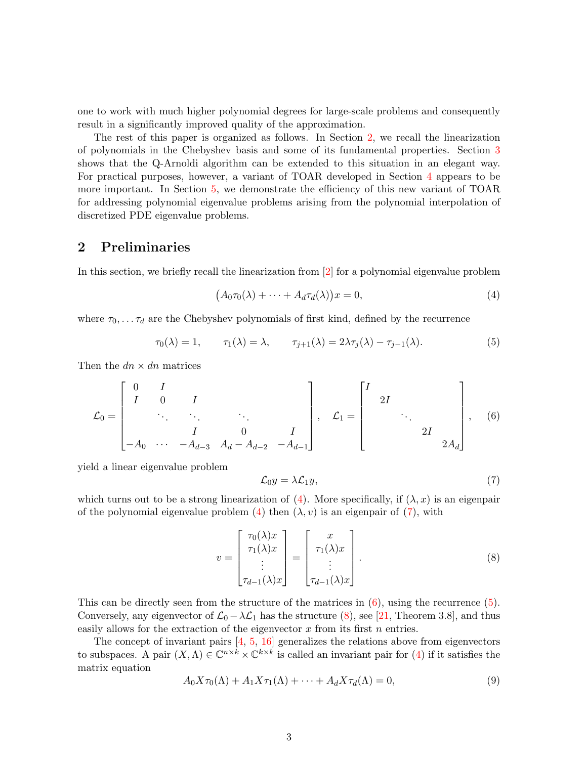one to work with much higher polynomial degrees for large-scale problems and consequently result in a significantly improved quality of the approximation.

The rest of this paper is organized as follows. In Section [2,](#page-3-0) we recall the linearization of polynomials in the Chebyshev basis and some of its fundamental properties. Section [3](#page-4-0) shows that the Q-Arnoldi algorithm can be extended to this situation in an elegant way. For practical purposes, however, a variant of TOAR developed in Section [4](#page-8-0) appears to be more important. In Section [5,](#page-16-0) we demonstrate the efficiency of this new variant of TOAR for addressing polynomial eigenvalue problems arising from the polynomial interpolation of discretized PDE eigenvalue problems.

# <span id="page-3-0"></span>2 Preliminaries

In this section, we briefly recall the linearization from [\[2\]](#page-21-5) for a polynomial eigenvalue problem

<span id="page-3-4"></span><span id="page-3-1"></span>
$$
(A_0 \tau_0(\lambda) + \dots + A_d \tau_d(\lambda))x = 0,
$$
\n(4)

where  $\tau_0, \ldots, \tau_d$  are the Chebyshev polynomials of first kind, defined by the recurrence

<span id="page-3-3"></span>
$$
\tau_0(\lambda) = 1, \qquad \tau_1(\lambda) = \lambda, \qquad \tau_{j+1}(\lambda) = 2\lambda \tau_j(\lambda) - \tau_{j-1}(\lambda). \tag{5}
$$

Then the  $dn \times dn$  matrices

$$
\mathcal{L}_0 = \begin{bmatrix} 0 & I & & & \\ I & 0 & I & & \\ & \ddots & \ddots & \ddots & \\ & & I & 0 & I \\ -A_0 & \cdots & -A_{d-3} & A_d - A_{d-2} & -A_{d-1} \end{bmatrix}, \quad \mathcal{L}_1 = \begin{bmatrix} I & & & \\ & 2I & & \\ & & \ddots & \\ & & & 2I & \\ & & & & 2A_d \end{bmatrix}, \quad (6)
$$

yield a linear eigenvalue problem

<span id="page-3-5"></span><span id="page-3-2"></span>
$$
\mathcal{L}_0 y = \lambda \mathcal{L}_1 y,\tag{7}
$$

which turns out to be a strong linearization of [\(4\)](#page-3-1). More specifically, if  $(\lambda, x)$  is an eigenpair of the polynomial eigenvalue problem [\(4\)](#page-3-1) then  $(\lambda, v)$  is an eigenpair of [\(7\)](#page-3-2), with

$$
v = \begin{bmatrix} \tau_0(\lambda)x \\ \tau_1(\lambda)x \\ \vdots \\ \tau_{d-1}(\lambda)x \end{bmatrix} = \begin{bmatrix} x \\ \tau_1(\lambda)x \\ \vdots \\ \tau_{d-1}(\lambda)x \end{bmatrix} . \tag{8}
$$

This can be directly seen from the structure of the matrices in  $(6)$ , using the recurrence  $(5)$ . Conversely, any eigenvector of  $\mathcal{L}_0 - \lambda \mathcal{L}_1$  has the structure [\(8\)](#page-3-5), see [\[21,](#page-22-1) Theorem 3.8], and thus easily allows for the extraction of the eigenvector  $x$  from its first  $n$  entries.

The concept of invariant pairs [\[4,](#page-21-6) [5,](#page-21-7) [16\]](#page-22-10) generalizes the relations above from eigenvectors to subspaces. A pair  $(X, \Lambda) \in \mathbb{C}^{n \times k} \times \mathbb{C}^{k \times k}$  is called an invariant pair for [\(4\)](#page-3-1) if it satisfies the matrix equation

<span id="page-3-6"></span>
$$
A_0 X \tau_0(\Lambda) + A_1 X \tau_1(\Lambda) + \dots + A_d X \tau_d(\Lambda) = 0,
$$
\n<sup>(9)</sup>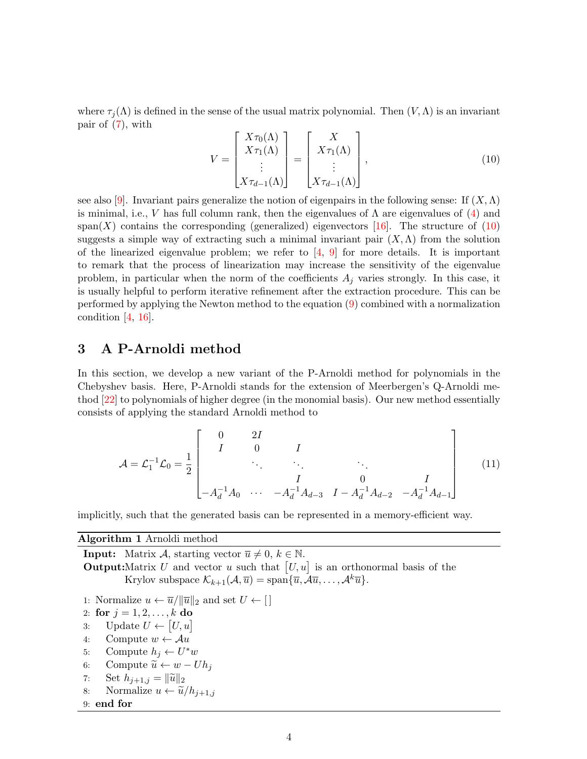where  $\tau_i(\Lambda)$  is defined in the sense of the usual matrix polynomial. Then  $(V,\Lambda)$  is an invariant pair of [\(7\)](#page-3-2), with

<span id="page-4-1"></span>
$$
V = \begin{bmatrix} X\tau_0(\Lambda) \\ X\tau_1(\Lambda) \\ \vdots \\ X\tau_{d-1}(\Lambda) \end{bmatrix} = \begin{bmatrix} X \\ X\tau_1(\Lambda) \\ \vdots \\ X\tau_{d-1}(\Lambda) \end{bmatrix},
$$
(10)

see also [\[9\]](#page-21-4). Invariant pairs generalize the notion of eigenpairs in the following sense: If  $(X, \Lambda)$ is minimal, i.e., V has full column rank, then the eigenvalues of  $\Lambda$  are eigenvalues of  $(4)$  and span(X) contains the corresponding (generalized) eigenvectors [\[16\]](#page-22-10). The structure of  $(10)$ suggests a simple way of extracting such a minimal invariant pair  $(X, \Lambda)$  from the solution of the linearized eigenvalue problem; we refer to  $[4, 9]$  $[4, 9]$  for more details. It is important to remark that the process of linearization may increase the sensitivity of the eigenvalue problem, in particular when the norm of the coefficients  $A_j$  varies strongly. In this case, it is usually helpful to perform iterative refinement after the extraction procedure. This can be performed by applying the Newton method to the equation [\(9\)](#page-3-6) combined with a normalization condition  $[4, 16]$  $[4, 16]$ .

# <span id="page-4-0"></span>3 A P-Arnoldi method

In this section, we develop a new variant of the P-Arnoldi method for polynomials in the Chebyshev basis. Here, P-Arnoldi stands for the extension of Meerbergen's Q-Arnoldi method [\[22\]](#page-22-4) to polynomials of higher degree (in the monomial basis). Our new method essentially consists of applying the standard Arnoldi method to

<span id="page-4-3"></span>
$$
\mathcal{A} = \mathcal{L}_1^{-1} \mathcal{L}_0 = \frac{1}{2} \begin{bmatrix} 0 & 2I \\ I & 0 & I \\ & \ddots & \ddots & \ddots \\ & & I & 0 & I \\ -A_d^{-1} A_0 & \cdots & -A_d^{-1} A_{d-3} & I - A_d^{-1} A_{d-2} & -A_d^{-1} A_{d-1} \end{bmatrix}
$$
(11)

implicitly, such that the generated basis can be represented in a memory-efficient way.

#### <span id="page-4-2"></span>Algorithm 1 Arnoldi method

**Input:** Matrix A, starting vector  $\overline{u} \neq 0, k \in \mathbb{N}$ . **Output:**Matrix U and vector u such that  $[U, u]$  is an orthonormal basis of the Krylov subspace  $\mathcal{K}_{k+1}(\mathcal{A}, \overline{u}) = \text{span}\{\overline{u}, \mathcal{A}\overline{u}, \dots, \mathcal{A}^k\overline{u}\}.$ 

- 1: Normalize  $u \leftarrow \overline{u}/\|\overline{u}\|_2$  and set  $U \leftarrow \lceil \cdot \rceil$
- 2: for  $j = 1, 2, ..., k$  do
- <span id="page-4-4"></span>3: Update  $U \leftarrow [U, u]$
- <span id="page-4-6"></span>4: Compute  $w \leftarrow \mathcal{A}u$
- <span id="page-4-5"></span>5: Compute  $h_j \leftarrow U^*w$
- 6: Compute  $\widetilde{u} \leftarrow w Uh_j$ <br>7: Set  $h_{i+1,j} = ||\widetilde{u}||_2$
- 7: Set  $h_{j+1,j} = ||\widetilde{u}||_2$ <br>8: Normalize  $u \leftarrow \widetilde{u}_j$
- Normalize  $u \leftarrow \tilde{u}/h_{i+1,j}$

## 9: end for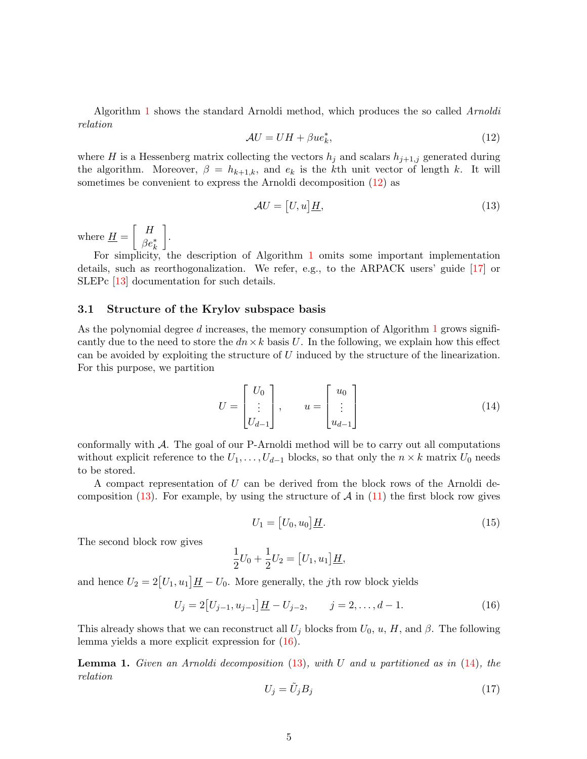<span id="page-5-0"></span>Algorithm [1](#page-4-2) shows the standard Arnoldi method, which produces the so called Arnoldi relation

$$
\mathcal{A}U = UH + \beta u e_k^*,\tag{12}
$$

where H is a Hessenberg matrix collecting the vectors  $h_j$  and scalars  $h_{j+1,j}$  generated during the algorithm. Moreover,  $\beta = h_{k+1,k}$ , and  $e_k$  is the kth unit vector of length k. It will sometimes be convenient to express the Arnoldi decomposition [\(12\)](#page-5-0) as

<span id="page-5-1"></span>
$$
\mathcal{A}U = [U, u]\underline{H},\tag{13}
$$

where  $\underline{H} =$  $\lceil H \rceil$  $\beta e_k^*$ 1 .

For simplicity, the description of Algorithm [1](#page-4-2) omits some important implementation details, such as reorthogonalization. We refer, e.g., to the ARPACK users' guide [\[17\]](#page-22-11) or SLEPc [\[13\]](#page-22-12) documentation for such details.

## 3.1 Structure of the Krylov subspace basis

As the polynomial degree  $d$  increases, the memory consumption of Algorithm [1](#page-4-2) grows significantly due to the need to store the  $dn \times k$  basis U. In the following, we explain how this effect can be avoided by exploiting the structure of  $U$  induced by the structure of the linearization. For this purpose, we partition

<span id="page-5-3"></span>
$$
U = \begin{bmatrix} U_0 \\ \vdots \\ U_{d-1} \end{bmatrix}, \qquad u = \begin{bmatrix} u_0 \\ \vdots \\ u_{d-1} \end{bmatrix}
$$
 (14)

conformally with  $\mathcal{A}$ . The goal of our P-Arnoldi method will be to carry out all computations without explicit reference to the  $U_1, \ldots, U_{d-1}$  blocks, so that only the  $n \times k$  matrix  $U_0$  needs to be stored.

<span id="page-5-4"></span>A compact representation of U can be derived from the block rows of the Arnoldi decomposition  $(13)$ . For example, by using the structure of A in  $(11)$  the first block row gives

<span id="page-5-2"></span>
$$
U_1 = [U_0, u_0] \underline{H}.\tag{15}
$$

The second block row gives

$$
\frac{1}{2}U_0 + \frac{1}{2}U_2 = [U_1, u_1]\underline{H},
$$

and hence  $U_2 = 2[U_1, u_1] \underline{H} - U_0$ . More generally, the jth row block yields

$$
U_j = 2[U_{j-1}, u_{j-1}] \underline{H} - U_{j-2}, \qquad j = 2, \dots, d - 1.
$$
 (16)

<span id="page-5-6"></span>This already shows that we can reconstruct all  $U_j$  blocks from  $U_0$ ,  $u$ ,  $H$ , and  $\beta$ . The following lemma yields a more explicit expression for [\(16\)](#page-5-2).

<span id="page-5-5"></span>**Lemma 1.** Given an Arnoldi decomposition  $(13)$ , with U and u partitioned as in  $(14)$ , the relation

$$
U_j = \tilde{U}_j B_j \tag{17}
$$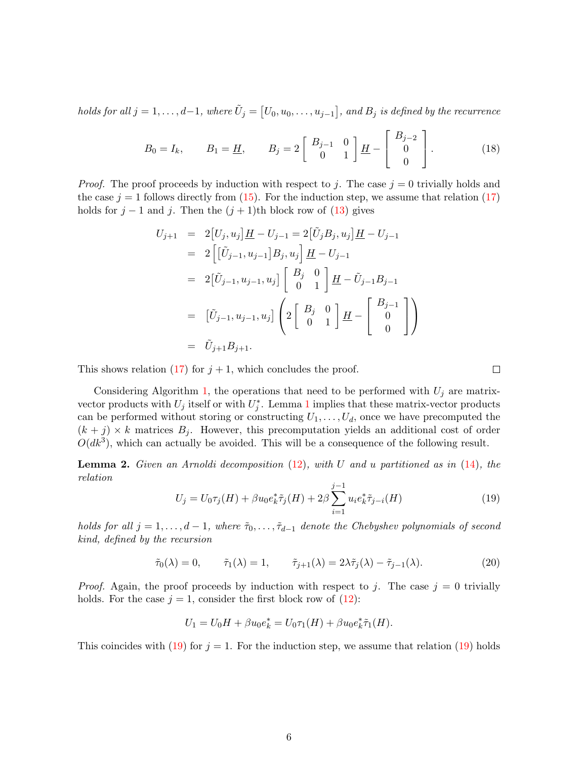holds for all  $j=1,\ldots,d-1,$  where  $\tilde{U}_j=\bigl[U_0,u_0,\ldots,u_{j-1}\bigr],$  and  $B_j$  is defined by the recurrence

$$
B_0 = I_k
$$
,  $B_1 = \underline{H}$ ,  $B_j = 2 \begin{bmatrix} B_{j-1} & 0 \\ 0 & 1 \end{bmatrix} \underline{H} - \begin{bmatrix} B_{j-2} \\ 0 \\ 0 \end{bmatrix}$ . (18)

*Proof.* The proof proceeds by induction with respect to j. The case  $j = 0$  trivially holds and the case  $j = 1$  follows directly from [\(15\)](#page-5-4). For the induction step, we assume that relation [\(17\)](#page-5-5) holds for  $j - 1$  and j. Then the  $(j + 1)$ th block row of  $(13)$  gives

$$
U_{j+1} = 2[U_j, u_j] \underline{H} - U_{j-1} = 2[\tilde{U}_j B_j, u_j] \underline{H} - U_{j-1}
$$
  
\n
$$
= 2\left[ [\tilde{U}_{j-1}, u_{j-1}] B_j, u_j \right] \underline{H} - U_{j-1}
$$
  
\n
$$
= 2[\tilde{U}_{j-1}, u_{j-1}, u_j] \begin{bmatrix} B_j & 0 \\ 0 & 1 \end{bmatrix} \underline{H} - \tilde{U}_{j-1} B_{j-1}
$$
  
\n
$$
= [\tilde{U}_{j-1}, u_{j-1}, u_j] \left( 2 \begin{bmatrix} B_j & 0 \\ 0 & 1 \end{bmatrix} \underline{H} - \begin{bmatrix} B_{j-1} \\ 0 \\ 0 \end{bmatrix} \right)
$$
  
\n
$$
= \tilde{U}_{j+1} B_{j+1}.
$$

This shows relation [\(17\)](#page-5-5) for  $j + 1$ , which concludes the proof.

Considering Algorithm [1,](#page-4-2) the operations that need to be performed with  $U_j$  are matrixvector products with  $U_j$  itself or with  $U_j^*$ . Lemma [1](#page-5-6) implies that these matrix-vector products can be performed without storing or constructing  $U_1, \ldots, U_d$ , once we have precomputed the  $(k + j) \times k$  matrices  $B_j$ . However, this precomputation yields an additional cost of order  $O(dk^3)$ , which can actually be avoided. This will be a consequence of the following result.

<span id="page-6-1"></span><span id="page-6-0"></span>**Lemma 2.** Given an Arnoldi decomposition  $(12)$ , with U and u partitioned as in  $(14)$ , the relation

<span id="page-6-2"></span>
$$
U_j = U_0 \tau_j(H) + \beta u_0 e_k^* \tilde{\tau}_j(H) + 2\beta \sum_{i=1}^{j-1} u_i e_k^* \tilde{\tau}_{j-i}(H)
$$
\n(19)

 $\Box$ 

holds for all  $j = 1, \ldots, d - 1$ , where  $\tilde{\tau}_0, \ldots, \tilde{\tau}_{d-1}$  denote the Chebyshev polynomials of second kind, defined by the recursion

$$
\tilde{\tau}_0(\lambda) = 0, \qquad \tilde{\tau}_1(\lambda) = 1, \qquad \tilde{\tau}_{j+1}(\lambda) = 2\lambda \tilde{\tau}_j(\lambda) - \tilde{\tau}_{j-1}(\lambda). \tag{20}
$$

*Proof.* Again, the proof proceeds by induction with respect to j. The case  $j = 0$  trivially holds. For the case  $j = 1$ , consider the first block row of [\(12\)](#page-5-0):

$$
U_1 = U_0 H + \beta u_0 e_k^* = U_0 \tau_1(H) + \beta u_0 e_k^* \tilde{\tau}_1(H).
$$

This coincides with [\(19\)](#page-6-0) for  $j = 1$ . For the induction step, we assume that relation (19) holds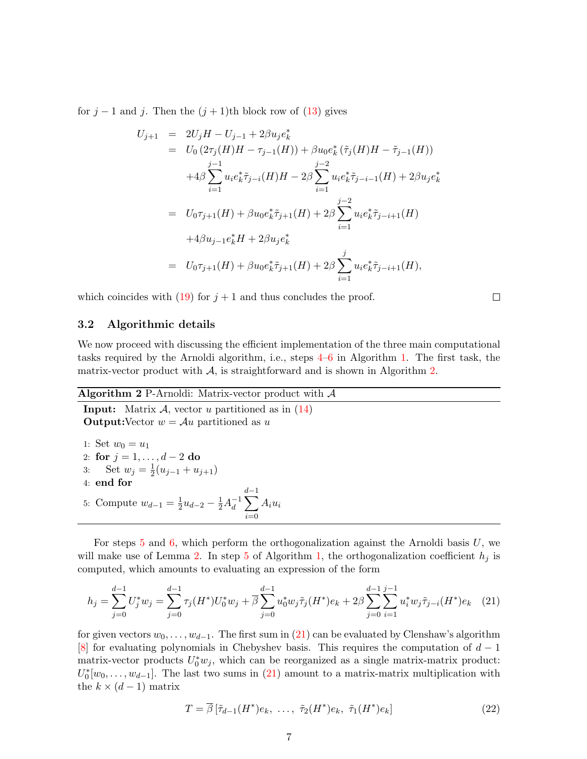for  $j-1$  and j. Then the  $(j+1)$ th block row of  $(13)$  gives

$$
U_{j+1} = 2U_jH - U_{j-1} + 2\beta u_j e_k^*
$$
  
\n
$$
= U_0 (2\tau_j(H)H - \tau_{j-1}(H)) + \beta u_0 e_k^* (\tilde{\tau}_j(H)H - \tilde{\tau}_{j-1}(H))
$$
  
\n
$$
+ 4\beta \sum_{i=1}^{j-1} u_i e_k^* \tilde{\tau}_{j-i}(H)H - 2\beta \sum_{i=1}^{j-2} u_i e_k^* \tilde{\tau}_{j-i-1}(H) + 2\beta u_j e_k^*
$$
  
\n
$$
= U_0 \tau_{j+1}(H) + \beta u_0 e_k^* \tilde{\tau}_{j+1}(H) + 2\beta \sum_{i=1}^{j-2} u_i e_k^* \tilde{\tau}_{j-i+1}(H)
$$
  
\n
$$
+ 4\beta u_{j-1} e_k^* H + 2\beta u_j e_k^*
$$
  
\n
$$
= U_0 \tau_{j+1}(H) + \beta u_0 e_k^* \tilde{\tau}_{j+1}(H) + 2\beta \sum_{i=1}^{j} u_i e_k^* \tilde{\tau}_{j-i+1}(H),
$$

which coincides with [\(19\)](#page-6-0) for  $j + 1$  and thus concludes the proof.

 $\Box$ 

## 3.2 Algorithmic details

We now proceed with discussing the efficient implementation of the three main computational tasks required by the Arnoldi algorithm, i.e., steps [4–](#page-4-4)[6](#page-4-5) in Algorithm [1.](#page-4-2) The first task, the matrix-vector product with  $\mathcal{A}$ , is straightforward and is shown in Algorithm [2.](#page-7-0)

#### <span id="page-7-0"></span>Algorithm 2 P-Arnoldi: Matrix-vector product with  $A$

**Input:** Matrix  $\mathcal{A}$ , vector u partitioned as in  $(14)$ **Output:**Vector  $w = Au$  partitioned as u

1: Set 
$$
w_0 = u_1
$$
  
\n2: **for**  $j = 1, ..., d - 2$  **do**  
\n3: Set  $w_j = \frac{1}{2}(u_{j-1} + u_{j+1})$   
\n4: **end for**  
\n5: Compute  $w_{d-1} = \frac{1}{2}u_{d-2} - \frac{1}{2}A_d^{-1}\sum_{i=0}^{d-1} A_i u_i$ 

For steps [5](#page-4-6) and [6,](#page-4-5) which perform the orthogonalization against the Arnoldi basis  $U$ , we will make use of Lemma [2.](#page-6-1) In step [5](#page-4-6) of Algorithm [1,](#page-4-2) the orthogonalization coefficient  $h_i$  is computed, which amounts to evaluating an expression of the form

$$
h_j = \sum_{j=0}^{d-1} U_j^* w_j = \sum_{j=0}^{d-1} \tau_j(H^*) U_0^* w_j + \overline{\beta} \sum_{j=0}^{d-1} u_0^* w_j \tilde{\tau}_j(H^*) e_k + 2\beta \sum_{j=0}^{d-1} \sum_{i=1}^{j-1} u_i^* w_j \tilde{\tau}_{j-i}(H^*) e_k \quad (21)
$$

for given vectors  $w_0, \ldots, w_{d-1}$ . The first sum in [\(21\)](#page-7-1) can be evaluated by Clenshaw's algorithm [\[8\]](#page-21-8) for evaluating polynomials in Chebyshev basis. This requires the computation of  $d-1$ matrix-vector products  $U_0^* w_j$ , which can be reorganized as a single matrix-matrix product:  $U_0^*[w_0, \ldots, w_{d-1}]$ . The last two sums in [\(21\)](#page-7-1) amount to a matrix-matrix multiplication with the  $k \times (d-1)$  matrix

<span id="page-7-2"></span><span id="page-7-1"></span>
$$
T = \overline{\beta} \left[ \tilde{\tau}_{d-1}(H^*)e_k, \ \dots, \ \tilde{\tau}_2(H^*)e_k, \ \tilde{\tau}_1(H^*)e_k \right] \tag{22}
$$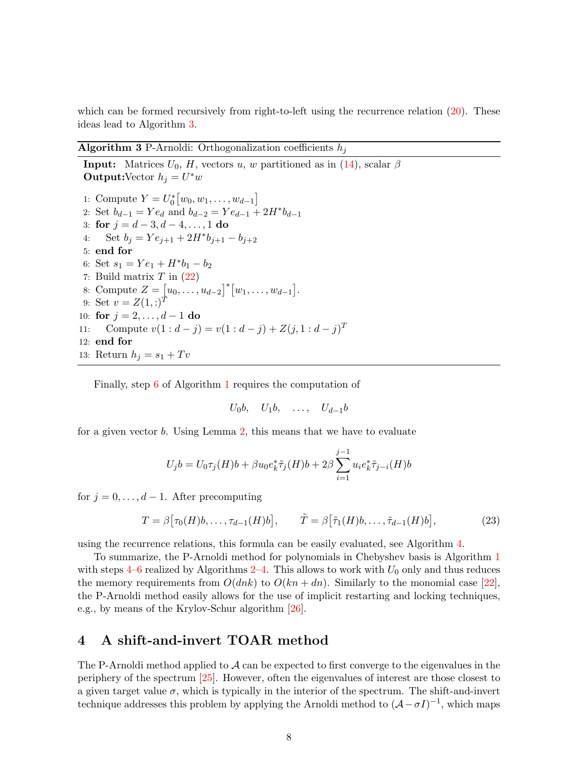which can be formed recursively from right-to-left using the recurrence relation  $(20)$ . These ideas lead to Algorithm [3.](#page-8-1)

## <span id="page-8-1"></span>Algorithm 3 P-Arnoldi: Orthogonalization coefficients  $h_i$

**Input:** Matrices  $U_0$ , H, vectors u, w partitioned as in [\(14\)](#page-5-3), scalar  $\beta$ **Output:**Vector  $h_j = U^*w$ 1: Compute  $Y = U_0^* [w_0, w_1, \dots, w_{d-1}]$ 2: Set  $b_{d-1} = Ye_d$  and  $b_{d-2} = Ye_{d-1} + 2H^*b_{d-1}$ 3: for  $j = d - 3, d - 4, \ldots, 1$  do 4: Set  $b_j = Ye_{j+1} + 2H^*b_{j+1} - b_{j+2}$ 5: end for 6: Set  $s_1 = Ye_1 + H^*b_1 - b_2$ 7: Build matrix  $T$  in  $(22)$ 8: Compute  $Z = [u_0, \ldots, u_{d-2}]^* [w_1, \ldots, w_{d-1}].$ 9: Set  $v = Z(1, z)^T$ 10: for  $j = 2, \ldots, d - 1$  do 11: Compute  $v(1:d-j) = v(1:d-j) + Z(j, 1:d-j)^T$ 12: end for 13: Return  $h_j = s_1 + Tv$ 

Finally, step [6](#page-4-5) of Algorithm [1](#page-4-2) requires the computation of

<span id="page-8-2"></span> $U_0b, U_1b, \ldots, U_{d-1}b$ 

for a given vector b. Using Lemma [2,](#page-6-1) this means that we have to evaluate

$$
U_j b = U_0 \tau_j(H) b + \beta u_0 e_k^* \tilde{\tau}_j(H) b + 2\beta \sum_{i=1}^{j-1} u_i e_k^* \tilde{\tau}_{j-i}(H) b
$$

for  $j = 0, \ldots, d - 1$ . After precomputing

$$
T = \beta \big[ \tau_0(H)b, \dots, \tau_{d-1}(H)b \big], \qquad \tilde{T} = \beta \big[ \tilde{\tau}_1(H)b, \dots, \tilde{\tau}_{d-1}(H)b \big], \tag{23}
$$

using the recurrence relations, this formula can be easily evaluated, see Algorithm [4.](#page-9-0)

To summarize, the P-Arnoldi method for polynomials in Chebyshev basis is Algorithm [1](#page-4-2) with steps  $4-6$  $4-6$  realized by Algorithms  $2-4$ . This allows to work with  $U_0$  only and thus reduces the memory requirements from  $O(dnk)$  to  $O(kn + dn)$ . Similarly to the monomial case [\[22\]](#page-22-4), the P-Arnoldi method easily allows for the use of implicit restarting and locking techniques, e.g., by means of the Krylov-Schur algorithm [\[26\]](#page-23-2).

# <span id="page-8-0"></span>4 A shift-and-invert TOAR method

The P-Arnoldi method applied to  $\mathcal A$  can be expected to first converge to the eigenvalues in the periphery of the spectrum [\[25\]](#page-22-6). However, often the eigenvalues of interest are those closest to a given target value  $\sigma$ , which is typically in the interior of the spectrum. The shift-and-invert technique addresses this problem by applying the Arnoldi method to  $(A - \sigma I)^{-1}$ , which maps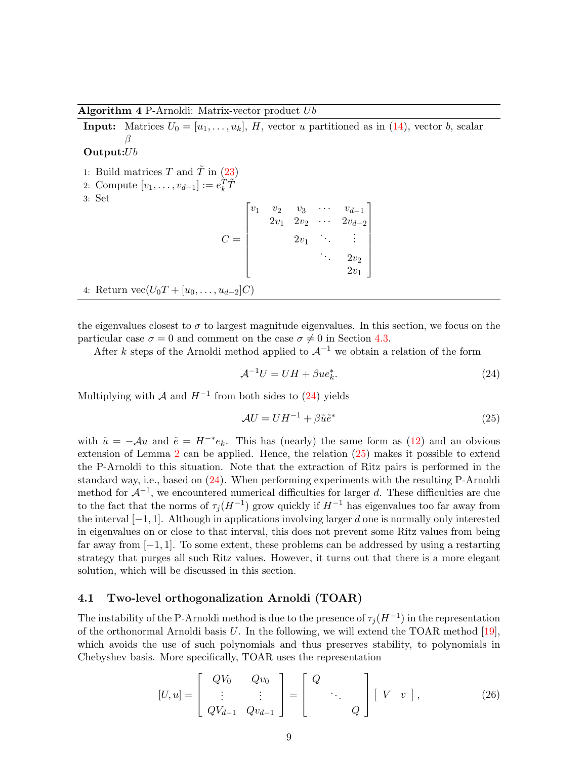<span id="page-9-0"></span>Algorithm  $4$  P-Arnoldi: Matrix-vector product  $Ub$ 

**Input:** Matrices  $U_0 = [u_1, \ldots, u_k]$ , H, vector u partitioned as in [\(14\)](#page-5-3), vector b, scalar β

## Output: $Ub$

- 1: Build matrices T and  $\tilde{T}$  in [\(23\)](#page-8-2)
- 2: Compute  $[v_1, \ldots, v_{d-1}] := e_k^T \tilde{T}$
- 3: Set

| $\boldsymbol{v}_1$ | $\begin{array}{cc}\nv_2 & v_3 \\ 2v_1 & 2v_2\n\end{array}$ |        | $v_{d-1}$<br>$2v_{d-2}$ |  |
|--------------------|------------------------------------------------------------|--------|-------------------------|--|
|                    |                                                            | $2v_1$ |                         |  |
|                    |                                                            |        | $2v_2$                  |  |
|                    |                                                            |        | $2v_1$                  |  |
| $-1$               |                                                            |        |                         |  |

4: Return  $\text{vec}(U_0T + [u_0, \ldots, u_{d-2}]C)$ 

the eigenvalues closest to  $\sigma$  to largest magnitude eigenvalues. In this section, we focus on the particular case  $\sigma = 0$  and comment on the case  $\sigma \neq 0$  in Section [4.3.](#page-14-0)

After k steps of the Arnoldi method applied to  $\mathcal{A}^{-1}$  we obtain a relation of the form

<span id="page-9-2"></span><span id="page-9-1"></span>
$$
\mathcal{A}^{-1}U = UH + \beta u e_k^*.
$$
\n<sup>(24)</sup>

Multiplying with  $\mathcal A$  and  $H^{-1}$  from both sides to [\(24\)](#page-9-1) yields

$$
\mathcal{A}U = U H^{-1} + \beta \tilde{u} \tilde{e}^* \tag{25}
$$

with  $\tilde{u} = -\mathcal{A}u$  and  $\tilde{e} = H^{-*}e_k$ . This has (nearly) the same form as [\(12\)](#page-5-0) and an obvious extension of Lemma [2](#page-6-1) can be applied. Hence, the relation [\(25\)](#page-9-2) makes it possible to extend the P-Arnoldi to this situation. Note that the extraction of Ritz pairs is performed in the standard way, i.e., based on [\(24\)](#page-9-1). When performing experiments with the resulting P-Arnoldi method for  $\mathcal{A}^{-1}$ , we encountered numerical difficulties for larger d. These difficulties are due to the fact that the norms of  $\tau_j(H^{-1})$  grow quickly if  $H^{-1}$  has eigenvalues too far away from the interval  $[-1, 1]$ . Although in applications involving larger d one is normally only interested in eigenvalues on or close to that interval, this does not prevent some Ritz values from being far away from [−1, 1]. To some extent, these problems can be addressed by using a restarting strategy that purges all such Ritz values. However, it turns out that there is a more elegant solution, which will be discussed in this section.

## 4.1 Two-level orthogonalization Arnoldi (TOAR)

The instability of the P-Arnoldi method is due to the presence of  $\tau_j(H^{-1})$  in the representation of the orthonormal Arnoldi basis  $U$ . In the following, we will extend the TOAR method [\[19\]](#page-22-7), which avoids the use of such polynomials and thus preserves stability, to polynomials in Chebyshev basis. More specifically, TOAR uses the representation

<span id="page-9-3"></span>
$$
[U, u] = \begin{bmatrix} QV_0 & Qv_0 \\ \vdots & \vdots \\ QV_{d-1} & Qv_{d-1} \end{bmatrix} = \begin{bmatrix} Q \\ & \ddots \\ & & Q \end{bmatrix} \begin{bmatrix} V & v \end{bmatrix},
$$
 (26)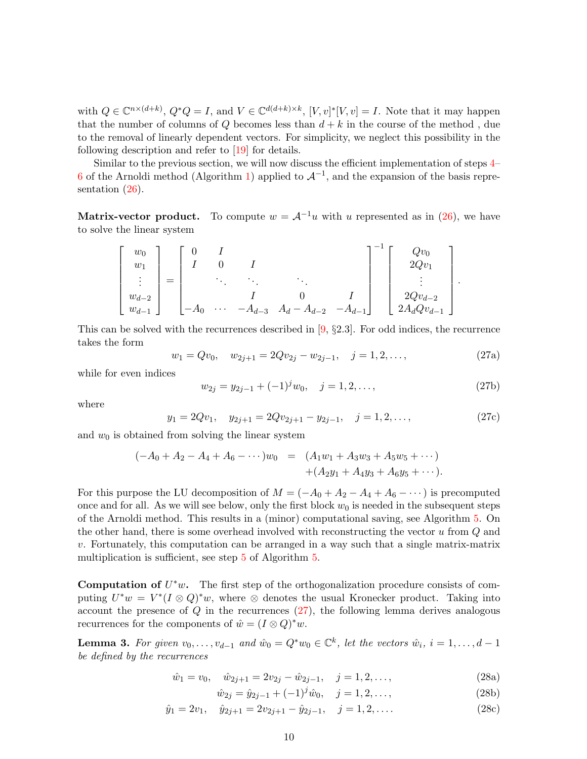with  $Q \in \mathbb{C}^{n \times (d+k)}$ ,  $Q^*Q = I$ , and  $V \in \mathbb{C}^{d(d+k)\times k}$ ,  $[V, v]^*[V, v] = I$ . Note that it may happen that the number of columns of Q becomes less than  $d + k$  in the course of the method, due to the removal of linearly dependent vectors. For simplicity, we neglect this possibility in the following description and refer to [\[19\]](#page-22-7) for details.

Similar to the previous section, we will now discuss the efficient implementation of steps [4–](#page-4-4) [6](#page-4-5) of the Arnoldi method (Algorithm [1\)](#page-4-2) applied to  $\mathcal{A}^{-1}$ , and the expansion of the basis representation  $(26)$ .

**Matrix-vector product.** To compute  $w = A^{-1}u$  with u represented as in [\(26\)](#page-9-3), we have to solve the linear system

$$
\begin{bmatrix} w_0 \\ w_1 \\ \vdots \\ w_{d-2} \\ w_{d-1} \end{bmatrix} = \begin{bmatrix} 0 & I & & & \\ I & 0 & I & & \\ & \ddots & \ddots & \ddots & \\ & & I & 0 & I \\ -A_0 & \cdots & -A_{d-3} & A_d - A_{d-2} & -A_{d-1} \end{bmatrix}^{-1} \begin{bmatrix} Qv_0 \\ 2Qv_1 \\ \vdots \\ 2Qv_{d-2} \\ 2A_dQv_{d-1} \end{bmatrix}.
$$

This can be solved with the recurrences described in  $[9, §2.3]$ . For odd indices, the recurrence takes the form

<span id="page-10-0"></span>
$$
w_1 = Qv_0, \quad w_{2j+1} = 2Qv_{2j} - w_{2j-1}, \quad j = 1, 2, \dots,
$$
\n
$$
(27a)
$$

while for even indices

$$
w_{2j} = y_{2j-1} + (-1)^j w_0, \quad j = 1, 2, \dots,
$$
\n(27b)

where

$$
y_1 = 2Qv_1
$$
,  $y_{2j+1} = 2Qv_{2j+1} - y_{2j-1}$ ,  $j = 1, 2, ...,$  (27c)

and  $w_0$  is obtained from solving the linear system

$$
(-A_0 + A_2 - A_4 + A_6 - \cdots)w_0 = (A_1w_1 + A_3w_3 + A_5w_5 + \cdots) + (A_2y_1 + A_4y_3 + A_6y_5 + \cdots).
$$

For this purpose the LU decomposition of  $M = (-A_0 + A_2 - A_4 + A_6 - \cdots)$  is precomputed once and for all. As we will see below, only the first block  $w_0$  is needed in the subsequent steps of the Arnoldi method. This results in a (minor) computational saving, see Algorithm [5.](#page-11-0) On the other hand, there is some overhead involved with reconstructing the vector u from Q and v. Fortunately, this computation can be arranged in a way such that a single matrix-matrix multiplication is sufficient, see step [5](#page-11-1) of Algorithm [5.](#page-11-0)

**Computation of**  $U^*w$ . The first step of the orthogonalization procedure consists of computing  $U^*w = V^*(I \otimes Q)^*w$ , where  $\otimes$  denotes the usual Kronecker product. Taking into account the presence of  $Q$  in the recurrences  $(27)$ , the following lemma derives analogous recurrences for the components of  $\hat{w} = (I \otimes Q)^* w$ .

<span id="page-10-3"></span>**Lemma 3.** For given  $v_0, \ldots, v_{d-1}$  and  $\hat{w}_0 = Q^*w_0 \in \mathbb{C}^k$ , let the vectors  $\hat{w}_i$ ,  $i = 1, \ldots, d-1$ be defined by the recurrences

<span id="page-10-2"></span>
$$
\hat{w}_1 = v_0, \quad \hat{w}_{2j+1} = 2v_{2j} - \hat{w}_{2j-1}, \quad j = 1, 2, \dots,
$$
\n(28a)

<span id="page-10-1"></span>
$$
\hat{w}_{2j} = \hat{y}_{2j-1} + (-1)^j \hat{w}_0, \quad j = 1, 2, \dots,
$$
\n(28b)

$$
\hat{y}_1 = 2v_1, \quad \hat{y}_{2j+1} = 2v_{2j+1} - \hat{y}_{2j-1}, \quad j = 1, 2, \dots
$$
\n
$$
(28c)
$$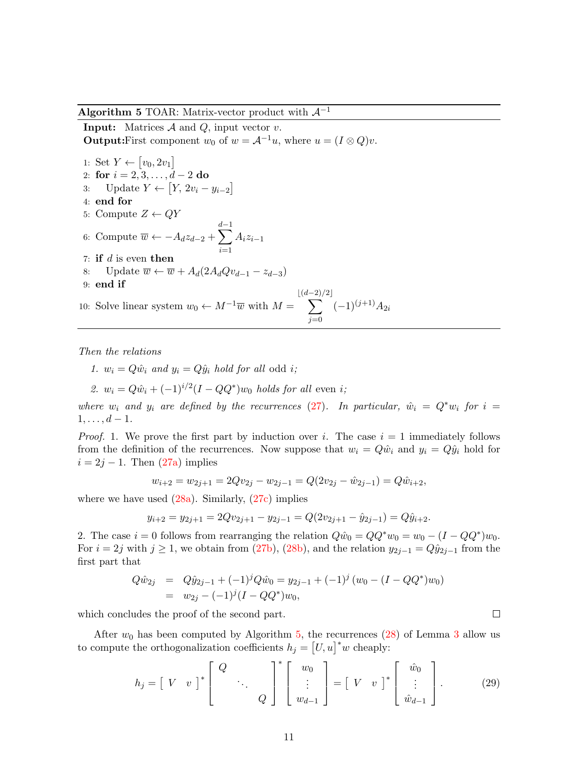#### <span id="page-11-0"></span>Algorithm 5 TOAR: Matrix-vector product with  $\mathcal{A}^{-1}$

**Input:** Matrices  $A$  and  $Q$ , input vector  $v$ . **Output:**First component  $w_0$  of  $w = A^{-1}u$ , where  $u = (I \otimes Q)v$ .

<span id="page-11-1"></span>1: Set  $Y \leftarrow [v_0, 2v_1]$ 2: for  $i = 2, 3, \ldots, d - 2$  do 3: Update  $Y \leftarrow [Y, 2v_i - y_{i-2}]$ 4: end for 5: Compute  $Z \leftarrow QY$ 6: Compute  $\overline{w} \leftarrow -A_d z_{d-2} + \sum_{l=1}^{d-1}$  $i=1$  $A_iz_{i-1}$ 7: if  $d$  is even then 8: Update  $\overline{w} \leftarrow \overline{w} + A_d(2A_dQu_{d-1} - z_{d-3})$ 9: end if 10: Solve linear system  $w_0 \leftarrow M^{-1}\overline{w}$  with  $M =$  $\sqrt{\frac{(d-2)}{2}}$  $j=0$  $(-1)^{(j+1)}A_{2i}$ 

Then the relations

1.  $w_i = Q\hat{w}_i$  and  $y_i = Q\hat{y}_i$  hold for all odd i;

2. 
$$
w_i = Q\hat{w}_i + (-1)^{i/2}(I - QQ^*)w_0
$$
 holds for all even i;

where  $w_i$  and  $y_i$  are defined by the recurrences [\(27\)](#page-10-0). In particular,  $\hat{w}_i = Q^* w_i$  for  $i =$  $1, \ldots, d-1.$ 

*Proof.* 1. We prove the first part by induction over i. The case  $i = 1$  immediately follows from the definition of the recurrences. Now suppose that  $w_i = Q\hat{w}_i$  and  $y_i = Q\hat{y}_i$  hold for  $i = 2j - 1$ . Then  $(27a)$  implies

$$
w_{i+2} = w_{2j+1} = 2Qv_{2j} - w_{2j-1} = Q(2v_{2j} - \hat{w}_{2j-1}) = Q\hat{w}_{i+2},
$$

where we have used  $(28a)$ . Similarly,  $(27c)$  implies

$$
y_{i+2} = y_{2j+1} = 2Qv_{2j+1} - y_{2j-1} = Q(2v_{2j+1} - \hat{y}_{2j-1}) = Q\hat{y}_{i+2}.
$$

2. The case  $i = 0$  follows from rearranging the relation  $Q\hat{w}_0 = QQ^*w_0 = w_0 - (I - QQ^*)w_0$ . For  $i = 2j$  with  $j \ge 1$ , we obtain from [\(27b\)](#page-10-1), [\(28b\)](#page-10-2), and the relation  $y_{2j-1} = Q\hat{y}_{2j-1}$  from the first part that

$$
Q\hat{w}_{2j} = Q\hat{y}_{2j-1} + (-1)^j Q\hat{w}_0 = y_{2j-1} + (-1)^j (w_0 - (I - QQ^*)w_0)
$$
  
=  $w_{2j} - (-1)^j (I - QQ^*)w_0,$ 

which concludes the proof of the second part.

After  $w_0$  has been computed by Algorithm [5,](#page-11-0) the recurrences [\(28\)](#page-10-1) of Lemma [3](#page-10-3) allow us to compute the orthogonalization coefficients  $h_j = [U, u]^* w$  cheaply:

$$
h_j = \begin{bmatrix} V & v \end{bmatrix}^* \begin{bmatrix} Q & & \\ & \ddots & \\ & & Q \end{bmatrix}^* \begin{bmatrix} w_0 \\ \vdots \\ w_{d-1} \end{bmatrix} = \begin{bmatrix} V & v \end{bmatrix}^* \begin{bmatrix} \hat{w}_0 \\ \vdots \\ \hat{w}_{d-1} \end{bmatrix} . \tag{29}
$$

```
\Box
```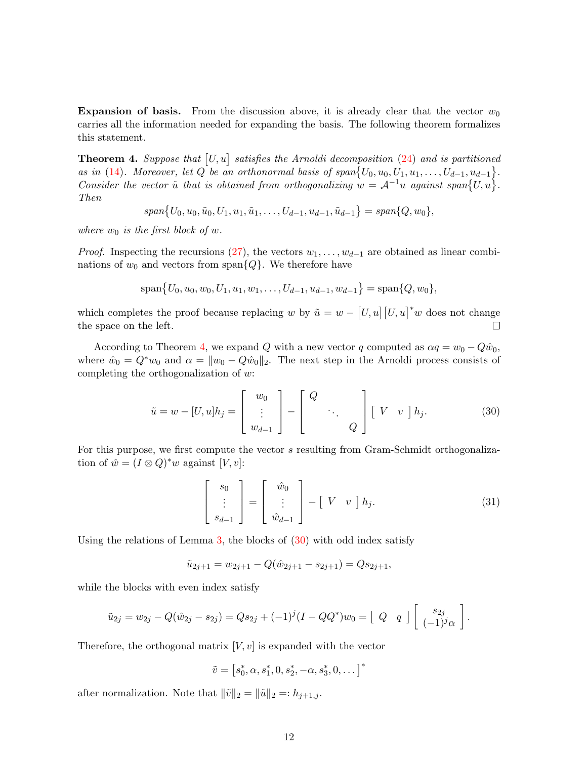**Expansion of basis.** From the discussion above, it is already clear that the vector  $w_0$ carries all the information needed for expanding the basis. The following theorem formalizes this statement.

<span id="page-12-0"></span>**Theorem 4.** Suppose that  $[U, u]$  satisfies the Arnoldi decomposition [\(24\)](#page-9-1) and is partitioned as in [\(14\)](#page-5-3). Moreover, let Q be an orthonormal basis of  $span\{U_0, u_0, U_1, u_1, \ldots, U_{d-1}, u_{d-1}\}.$ Consider the vector  $\tilde{u}$  that is obtained from orthogonalizing  $w = A^{-1}u$  against span $\{U, u\}$ . Then

 $span\{U_0, u_0, \tilde{u}_0, U_1, u_1, \tilde{u}_1, \ldots, U_{d-1}, u_{d-1}, \tilde{u}_{d-1}\} = span\{Q, w_0\},\$ 

where  $w_0$  is the first block of w.

*Proof.* Inspecting the recursions  $(27)$ , the vectors  $w_1, \ldots, w_{d-1}$  are obtained as linear combinations of  $w_0$  and vectors from span $\{Q\}$ . We therefore have

$$
\text{span}\{U_0, u_0, w_0, U_1, u_1, w_1, \dots, U_{d-1}, u_{d-1}, w_{d-1}\} = \text{span}\{Q, w_0\},\
$$

which completes the proof because replacing w by  $\tilde{u} = w - [U, u] [U, u]^* w$  does not change the space on the left.  $\Box$ 

According to Theorem [4,](#page-12-0) we expand Q with a new vector q computed as  $\alpha q = w_0 - Q\hat{w}_0$ , where  $\hat{w}_0 = Q^* w_0$  and  $\alpha = ||w_0 - Q\hat{w}_0||_2$ . The next step in the Arnoldi process consists of completing the orthogonalization of w:

<span id="page-12-1"></span>
$$
\tilde{u} = w - [U, u]h_j = \begin{bmatrix} w_0 \\ \vdots \\ w_{d-1} \end{bmatrix} - \begin{bmatrix} Q \\ \vdots \\ Q \end{bmatrix} [V \quad v \quad h_j. \tag{30}
$$

For this purpose, we first compute the vector s resulting from Gram-Schmidt orthogonalization of  $\hat{w} = (I \otimes Q)^* w$  against  $[V, v]$ :

$$
\begin{bmatrix} s_0 \\ \vdots \\ s_{d-1} \end{bmatrix} = \begin{bmatrix} \hat{w}_0 \\ \vdots \\ \hat{w}_{d-1} \end{bmatrix} - \begin{bmatrix} V & v \end{bmatrix} h_j.
$$
 (31)

Using the relations of Lemma  $3$ , the blocks of  $(30)$  with odd index satisfy

$$
\tilde{u}_{2j+1} = w_{2j+1} - Q(\hat{w}_{2j+1} - s_{2j+1}) = Qs_{2j+1},
$$

while the blocks with even index satisfy

$$
\tilde{u}_{2j} = w_{2j} - Q(\hat{w}_{2j} - s_{2j}) = Qs_{2j} + (-1)^{j}(I - QQ^*)w_0 = [Q \ q] \begin{bmatrix} s_{2j} \\ (-1)^{j}\alpha \end{bmatrix}.
$$

Therefore, the orthogonal matrix  $[V, v]$  is expanded with the vector

$$
\tilde{v} = [s_0^*, \alpha, s_1^*, 0, s_2^*, -\alpha, s_3^*, 0, \dots]^*
$$

after normalization. Note that  $\|\tilde{v}\|_2 = \|\tilde{u}\|_2 =: h_{j+1,j}$ .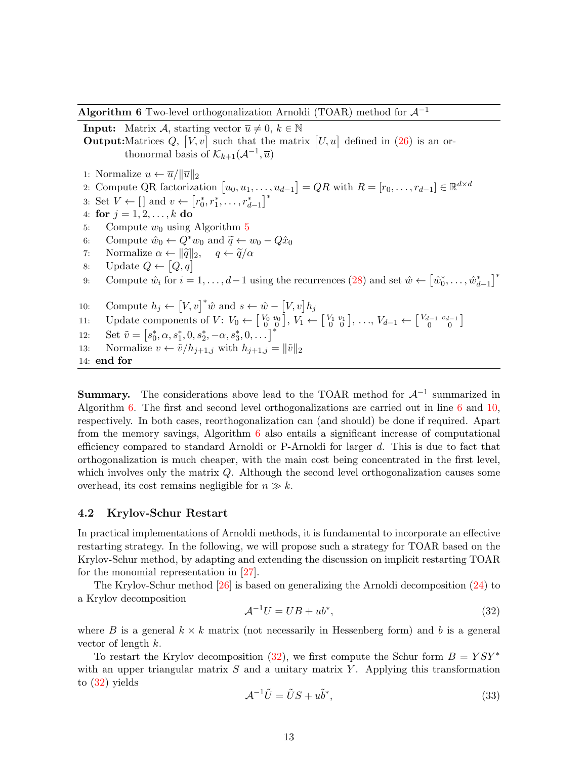<span id="page-13-0"></span>**Algorithm 6** Two-level orthogonalization Arnoldi (TOAR) method for  $\mathcal{A}^{-1}$ 

<span id="page-13-1"></span>**Input:** Matrix A, starting vector  $\overline{u} \neq 0, k \in \mathbb{N}$ **Output:**Matrices  $Q$ ,  $[V, v]$  such that the matrix  $[U, u]$  defined in [\(26\)](#page-9-3) is an orthonormal basis of  $\mathcal{K}_{k+1}(\mathcal{A}^{-1}, \overline{u})$ 1: Normalize  $u \leftarrow \overline{u}/\|\overline{u}\|_2$ 2: Compute QR factorization  $[u_0, u_1, \ldots, u_{d-1}] = QR$  with  $R = [r_0, \ldots, r_{d-1}] \in \mathbb{R}^{d \times d}$ 3: Set  $V \leftarrow [$  and  $v \leftarrow [r_0^*, r_1^*, \ldots, r_{d-1}^*]^*$ 4: for  $j = 1, 2, ..., k$  do [5](#page-11-0): Compute  $w_0$  using Algorithm 5 6: Compute  $\hat{w}_0 \leftarrow Q^* w_0$  and  $\tilde{q} \leftarrow w_0 - Q\hat{x}_0$ <br>7: Normalize  $\alpha \leftarrow ||\tilde{q}||_2$ ,  $q \leftarrow \tilde{q}/\alpha$ 7: Normalize  $\alpha \leftarrow ||\tilde{q}||_2$ ,  $q \leftarrow \tilde{q}/\alpha$ <br>8: Update  $Q \leftarrow [Q, q]$ 8: Update  $Q \leftarrow [Q, q]$ 9: Compute  $\hat{w}_i$  for  $i = 1, ..., d-1$  using the recurrences [\(28\)](#page-10-1) and set  $\hat{w} \leftarrow \left[\hat{w}_0^*, \dots, \hat{w}_{d-1}^*\right]^*$ 10: Compute  $h_j \leftarrow [V, v]^* \hat{w}$  and  $s \leftarrow \hat{w} - [V, v] h_j$ 11: Update components of  $V: V_0 \leftarrow \begin{bmatrix} V_0 & v_0 \ 0 & 0 \end{bmatrix}, V_1 \leftarrow \begin{bmatrix} V_1 & v_1 \ 0 & 0 \end{bmatrix}, \dots, V_{d-1} \leftarrow \begin{bmatrix} V_{d-1} & v_{d-1} \ 0 & 0 \end{bmatrix}$ omponents of  $V: V_0 \leftarrow \begin{bmatrix} V_0 & v_0 \\ 0 & 0 \end{bmatrix}, V_1 \leftarrow \begin{bmatrix} V_1 & v_1 \\ 0 & 0 \end{bmatrix}, \dots, V_{d-1} \leftarrow \begin{bmatrix} V_{d-1} & v_{d-1} \\ 0 & 0 \end{bmatrix}$ 12: Set  $\tilde{v} = [s_0^*, \alpha, s_1^*, 0, s_2^*, -\alpha, s_3^*, 0, \dots]^*$ 13: Normalize  $v \leftarrow \tilde{v}/h_{j+1,j}$  with  $h_{j+1,j} = ||\tilde{v}||_2$ 14: end for

<span id="page-13-2"></span>**Summary.** The considerations above lead to the TOAR method for  $\mathcal{A}^{-1}$  summarized in Algorithm  $6.$  The first and second level orthogonalizations are carried out in line  $6$  and  $10$ , respectively. In both cases, reorthogonalization can (and should) be done if required. Apart from the memory savings, Algorithm [6](#page-13-0) also entails a significant increase of computational efficiency compared to standard Arnoldi or P-Arnoldi for larger d. This is due to fact that orthogonalization is much cheaper, with the main cost being concentrated in the first level, which involves only the matrix Q. Although the second level orthogonalization causes some overhead, its cost remains negligible for  $n \gg k$ .

## 4.2 Krylov-Schur Restart

In practical implementations of Arnoldi methods, it is fundamental to incorporate an effective restarting strategy. In the following, we will propose such a strategy for TOAR based on the Krylov-Schur method, by adapting and extending the discussion on implicit restarting TOAR for the monomial representation in [\[27\]](#page-23-3).

The Krylov-Schur method [\[26\]](#page-23-2) is based on generalizing the Arnoldi decomposition [\(24\)](#page-9-1) to a Krylov decomposition

<span id="page-13-5"></span><span id="page-13-3"></span>
$$
\mathcal{A}^{-1}U = UB + ub^*,\tag{32}
$$

where B is a general  $k \times k$  matrix (not necessarily in Hessenberg form) and b is a general vector of length  $k$ .

<span id="page-13-4"></span>To restart the Krylov decomposition [\(32\)](#page-13-3), we first compute the Schur form  $B = Y S Y^*$ with an upper triangular matrix  $S$  and a unitary matrix  $Y$ . Applying this transformation to [\(32\)](#page-13-3) yields

$$
\mathcal{A}^{-1}\tilde{U} = \tilde{U}S + u\tilde{b}^*,\tag{33}
$$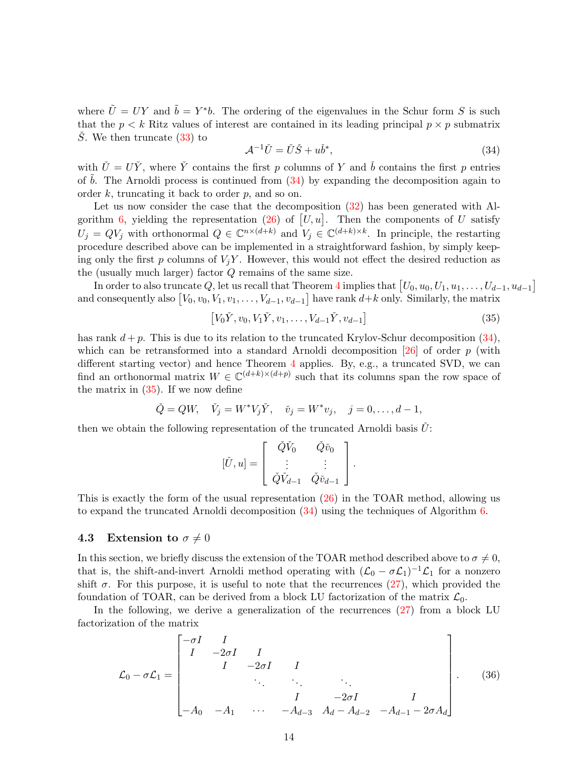where  $\tilde{U} = UY$  and  $\tilde{b} = Y^*b$ . The ordering of the eigenvalues in the Schur form S is such that the  $p < k$  Ritz values of interest are contained in its leading principal  $p \times p$  submatrix  $\dot{S}$ . We then truncate [\(33\)](#page-13-4) to

<span id="page-14-1"></span>
$$
\mathcal{A}^{-1}\check{U} = \check{U}\check{S} + u\check{b}^*,\tag{34}
$$

with  $\check{U} = U\check{Y}$ , where  $\check{Y}$  contains the first p columns of Y and  $\check{b}$  contains the first p entries of  $\bar{b}$ . The Arnoldi process is continued from [\(34\)](#page-14-1) by expanding the decomposition again to order  $k$ , truncating it back to order  $p$ , and so on.

Let us now consider the case that the decomposition  $(32)$  has been generated with Al-gorithm [6,](#page-13-0) yielding the representation [\(26\)](#page-9-3) of  $[U, u]$ . Then the components of U satisfy  $U_j = QV_j$  with orthonormal  $Q \in \mathbb{C}^{n \times (d+k)}$  and  $V_j \in \mathbb{C}^{(d+k)\times k}$ . In principle, the restarting procedure described above can be implemented in a straightforward fashion, by simply keeping only the first p columns of  $V_iY$ . However, this would not effect the desired reduction as the (usually much larger) factor Q remains of the same size.

 $\text{In order to also truncate } Q \text{, let us recall that Theorem 4 implies that } \begin{bmatrix} U_0, u_0, U_1, u_1, \ldots, U_{d-1}, u_{d-1} \end{bmatrix}$  $\text{In order to also truncate } Q \text{, let us recall that Theorem 4 implies that } \begin{bmatrix} U_0, u_0, U_1, u_1, \ldots, U_{d-1}, u_{d-1} \end{bmatrix}$  $\text{In order to also truncate } Q \text{, let us recall that Theorem 4 implies that } \begin{bmatrix} U_0, u_0, U_1, u_1, \ldots, U_{d-1}, u_{d-1} \end{bmatrix}$ and consequently also  $[V_0, v_0, V_1, v_1, \ldots, V_{d-1}, v_{d-1}]$  have rank  $d+k$  only. Similarly, the matrix

<span id="page-14-2"></span>
$$
[V_0\check{Y}, v_0, V_1\check{Y}, v_1, \dots, V_{d-1}\check{Y}, v_{d-1}]
$$
\n(35)

has rank  $d + p$ . This is due to its relation to the truncated Krylov-Schur decomposition [\(34\)](#page-14-1), which can be retransformed into a standard Arnoldi decomposition  $[26]$  of order p (with different starting vector) and hence Theorem [4](#page-12-0) applies. By, e.g., a truncated SVD, we can find an orthonormal matrix  $W \in \mathbb{C}^{(d+k)\times (d+p)}$  such that its columns span the row space of the matrix in  $(35)$ . If we now define

$$
\check{Q} = QW, \quad \check{V}_j = W^* V_j \check{Y}, \quad \check{v}_j = W^* v_j, \quad j = 0, \dots, d - 1,
$$

then we obtain the following representation of the truncated Arnoldi basis  $\dot{U}$ :

$$
[\check{U}, u] = \begin{bmatrix} \check{Q}\check{V}_0 & \check{Q}\check{v}_0 \\ \vdots & \vdots \\ \check{Q}\check{V}_{d-1} & \check{Q}\check{v}_{d-1} \end{bmatrix}.
$$

This is exactly the form of the usual representation  $(26)$  in the TOAR method, allowing us to expand the truncated Arnoldi decomposition [\(34\)](#page-14-1) using the techniques of Algorithm [6.](#page-13-0)

#### <span id="page-14-0"></span>4.3 Extension to  $\sigma \neq 0$

In this section, we briefly discuss the extension of the TOAR method described above to  $\sigma \neq 0$ , that is, the shift-and-invert Arnoldi method operating with  $(\mathcal{L}_0 - \sigma \mathcal{L}_1)^{-1} \mathcal{L}_1$  for a nonzero shift  $\sigma$ . For this purpose, it is useful to note that the recurrences  $(27)$ , which provided the foundation of TOAR, can be derived from a block LU factorization of the matrix  $\mathcal{L}_0$ .

In the following, we derive a generalization of the recurrences [\(27\)](#page-10-0) from a block LU factorization of the matrix

$$
\mathcal{L}_0 - \sigma \mathcal{L}_1 = \begin{bmatrix} -\sigma I & I & & & & & \\ I & -2\sigma I & I & & & & \\ & I & -2\sigma I & I & & & \\ & & \ddots & \ddots & \ddots & \ddots & \\ & & & I & -2\sigma I & I \\ -A_0 & -A_1 & \cdots & -A_{d-3} & A_d - A_{d-2} & -A_{d-1} - 2\sigma A_d \end{bmatrix} .
$$
 (36)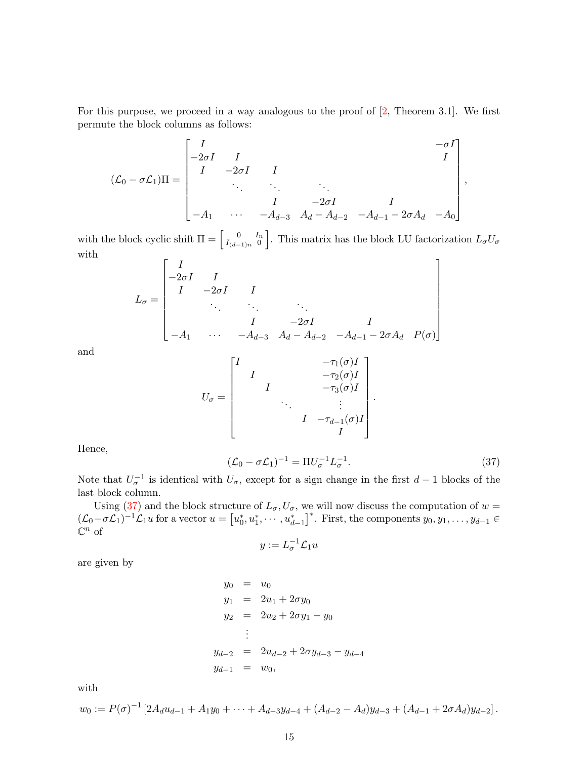For this purpose, we proceed in a way analogous to the proof of  $[2,$  Theorem 3.1]. We first permute the block columns as follows:

$$
(\mathcal{L}_0 - \sigma \mathcal{L}_1) \Pi = \begin{bmatrix} I & & & & & -\sigma I \\ -2\sigma I & I & & & & & I \\ I & -2\sigma I & I & & & & \\ & \ddots & \ddots & \ddots & \ddots & \\ & & I & -2\sigma I & & I \\ -A_1 & \cdots & -A_{d-3} & A_d - A_{d-2} & -A_{d-1} - 2\sigma A_d & -A_0 \end{bmatrix}
$$

with the block cyclic shift  $\Pi = \begin{bmatrix} 0 & I_n \\ I_{(d-1)n} & 0 \end{bmatrix}$  $I_{(d-1)n}$  0 . This matrix has the block LU factorization  $L_{\sigma}U_{\sigma}$ with h,

L<sup>σ</sup> = I −2σI I I −2σI I . . . . . . . . . I −2σI I −A<sup>1</sup> · · · −Ad−<sup>3</sup> A<sup>d</sup> − Ad−<sup>2</sup> −Ad−<sup>1</sup> − 2σA<sup>d</sup> P(σ) 

and

$$
U_{\sigma} = \begin{bmatrix} I & & & & -\tau_1(\sigma)I \\ & I & & & -\tau_2(\sigma)I \\ & I & & & -\tau_3(\sigma)I \\ & & \ddots & & \vdots \\ & & & I & -\tau_{d-1}(\sigma)I \\ & & & & I \end{bmatrix}.
$$

<span id="page-15-0"></span>Hence,

$$
\left(\mathcal{L}_0 - \sigma \mathcal{L}_1\right)^{-1} = \Pi U_{\sigma}^{-1} L_{\sigma}^{-1}.
$$
\n(37)

,

Note that  $U_{\sigma}^{-1}$  is identical with  $U_{\sigma}$ , except for a sign change in the first  $d-1$  blocks of the last block column.

Using [\(37\)](#page-15-0) and the block structure of  $L_{\sigma}$ ,  $U_{\sigma}$ , we will now discuss the computation of  $w =$  $(\mathcal{L}_0 - \sigma \mathcal{L}_1)^{-1} \mathcal{L}_1 u$  for a vector  $u = [u_0^*, u_1^*, \cdots, u_{d-1}^*]^*$ . First, the components  $y_0, y_1, \ldots, y_{d-1} \in$  $\mathbb{C}^n$  of

$$
y := L_{\sigma}^{-1} \mathcal{L}_1 u
$$

are given by

$$
y_0 = u_0
$$
  
\n
$$
y_1 = 2u_1 + 2\sigma y_0
$$
  
\n
$$
y_2 = 2u_2 + 2\sigma y_1 - y_0
$$
  
\n
$$
\vdots
$$
  
\n
$$
y_{d-2} = 2u_{d-2} + 2\sigma y_{d-3} - y_{d-4}
$$
  
\n
$$
y_{d-1} = w_0,
$$

with

$$
w_0 := P(\sigma)^{-1} \left[ 2A_d u_{d-1} + A_1 y_0 + \dots + A_{d-3} y_{d-4} + (A_{d-2} - A_d) y_{d-3} + (A_{d-1} + 2\sigma A_d) y_{d-2} \right].
$$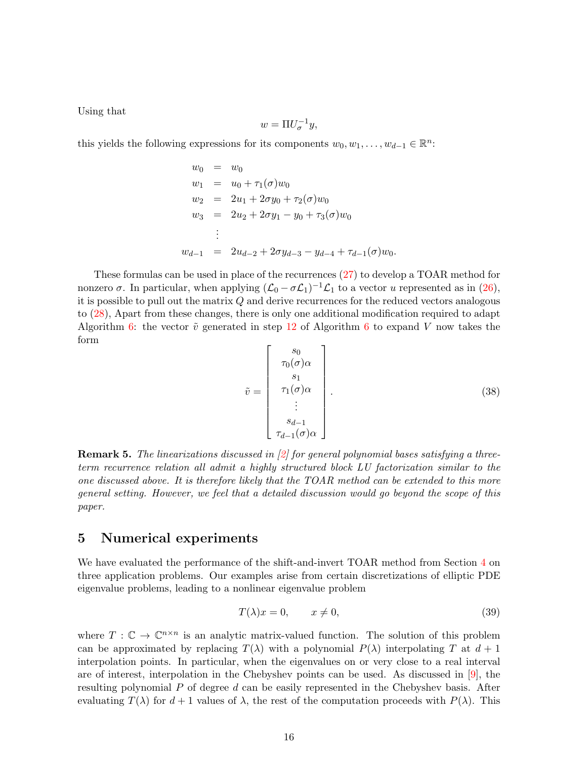Using that

$$
w = \Pi U_{\sigma}^{-1} y,
$$

this yields the following expressions for its components  $w_0, w_1, \ldots, w_{d-1} \in \mathbb{R}^n$ :

$$
w_0 = w_0
$$
  
\n
$$
w_1 = u_0 + \tau_1(\sigma)w_0
$$
  
\n
$$
w_2 = 2u_1 + 2\sigma y_0 + \tau_2(\sigma)w_0
$$
  
\n
$$
w_3 = 2u_2 + 2\sigma y_1 - y_0 + \tau_3(\sigma)w_0
$$
  
\n
$$
\vdots
$$
  
\n
$$
w_{d-1} = 2u_{d-2} + 2\sigma y_{d-3} - y_{d-4} + \tau_{d-1}(\sigma)w_0.
$$

These formulas can be used in place of the recurrences [\(27\)](#page-10-0) to develop a TOAR method for nonzero  $\sigma$ . In particular, when applying  $(\mathcal{L}_0 - \sigma \mathcal{L}_1)^{-1} \mathcal{L}_1$  to a vector u represented as in [\(26\)](#page-9-3), it is possible to pull out the matrix  $Q$  and derive recurrences for the reduced vectors analogous to [\(28\)](#page-10-1), Apart from these changes, there is only one additional modification required to adapt Algorithm [6:](#page-13-0) the vector  $\tilde{v}$  generated in step [12](#page-13-5) of Algorithm [6](#page-13-0) to expand V now takes the form

$$
\tilde{v} = \begin{bmatrix} s_0 \\ \tau_0(\sigma)\alpha \\ s_1 \\ \tau_1(\sigma)\alpha \\ \vdots \\ s_{d-1} \\ \tau_{d-1}(\sigma)\alpha \end{bmatrix} .
$$
\n(38)

<span id="page-16-2"></span>Remark 5. The linearizations discussed in [\[2\]](#page-21-5) for general polynomial bases satisfying a threeterm recurrence relation all admit a highly structured block LU factorization similar to the one discussed above. It is therefore likely that the TOAR method can be extended to this more general setting. However, we feel that a detailed discussion would go beyond the scope of this paper.

# <span id="page-16-0"></span>5 Numerical experiments

We have evaluated the performance of the shift-and-invert TOAR method from Section [4](#page-8-0) on three application problems. Our examples arise from certain discretizations of elliptic PDE eigenvalue problems, leading to a nonlinear eigenvalue problem

<span id="page-16-1"></span>
$$
T(\lambda)x = 0, \qquad x \neq 0,\tag{39}
$$

where  $T: \mathbb{C} \to \mathbb{C}^{n \times n}$  is an analytic matrix-valued function. The solution of this problem can be approximated by replacing  $T(\lambda)$  with a polynomial  $P(\lambda)$  interpolating T at  $d+1$ interpolation points. In particular, when the eigenvalues on or very close to a real interval are of interest, interpolation in the Chebyshev points can be used. As discussed in [\[9\]](#page-21-4), the resulting polynomial  $P$  of degree  $d$  can be easily represented in the Chebyshev basis. After evaluating  $T(\lambda)$  for  $d+1$  values of  $\lambda$ , the rest of the computation proceeds with  $P(\lambda)$ . This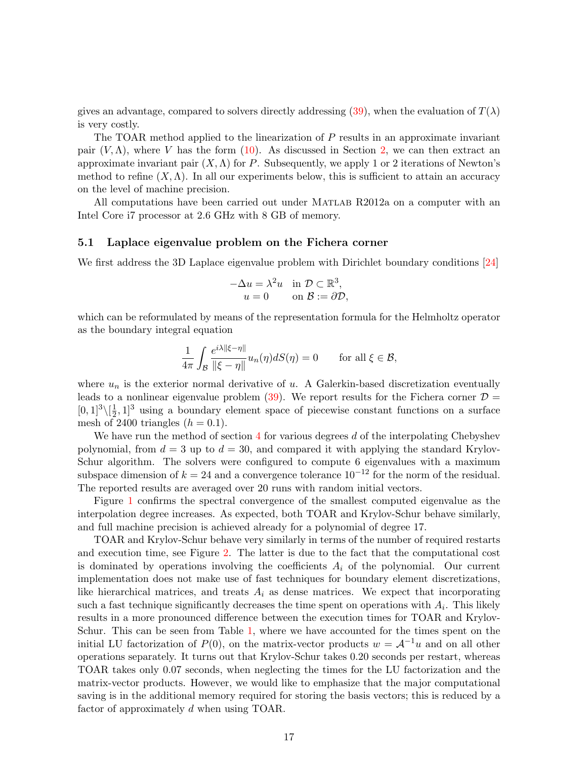gives an advantage, compared to solvers directly addressing [\(39\)](#page-16-1), when the evaluation of  $T(\lambda)$ is very costly.

The TOAR method applied to the linearization of P results in an approximate invariant pair  $(V, \Lambda)$ , where V has the form [\(10\)](#page-4-1). As discussed in Section [2,](#page-3-0) we can then extract an approximate invariant pair  $(X, \Lambda)$  for P. Subsequently, we apply 1 or 2 iterations of Newton's method to refine  $(X, \Lambda)$ . In all our experiments below, this is sufficient to attain an accuracy on the level of machine precision.

All computations have been carried out under MATLAB R2012a on a computer with an Intel Core i7 processor at 2.6 GHz with 8 GB of memory.

## <span id="page-17-0"></span>5.1 Laplace eigenvalue problem on the Fichera corner

We first address the 3D Laplace eigenvalue problem with Dirichlet boundary conditions [\[24\]](#page-22-13)

$$
-\Delta u = \lambda^2 u \quad \text{in } \mathcal{D} \subset \mathbb{R}^3,
$$
  
 
$$
u = 0 \qquad \text{on } \mathcal{B} := \partial \mathcal{D},
$$

which can be reformulated by means of the representation formula for the Helmholtz operator as the boundary integral equation

$$
\frac{1}{4\pi} \int_{\mathcal{B}} \frac{e^{i\lambda ||\xi - \eta||}}{||\xi - \eta||} u_n(\eta) dS(\eta) = 0 \quad \text{for all } \xi \in \mathcal{B},
$$

where  $u_n$  is the exterior normal derivative of u. A Galerkin-based discretization eventually leads to a nonlinear eigenvalue problem  $(39)$ . We report results for the Fichera corner  $\mathcal{D} =$  $[0, 1]^3 \setminus [\frac{1}{2}]$  $\frac{1}{2}$ , 1<sup>3</sup> using a boundary element space of piecewise constant functions on a surface mesh of 2400 triangles  $(h = 0.1)$ .

We have run the method of section  $4$  for various degrees d of the interpolating Chebyshev polynomial, from  $d = 3$  up to  $d = 30$ , and compared it with applying the standard Krylov-Schur algorithm. The solvers were configured to compute 6 eigenvalues with a maximum subspace dimension of  $k = 24$  and a convergence tolerance  $10^{-12}$  for the norm of the residual. The reported results are averaged over 20 runs with random initial vectors.

Figure [1](#page-18-0) confirms the spectral convergence of the smallest computed eigenvalue as the interpolation degree increases. As expected, both TOAR and Krylov-Schur behave similarly, and full machine precision is achieved already for a polynomial of degree 17.

TOAR and Krylov-Schur behave very similarly in terms of the number of required restarts and execution time, see Figure [2.](#page-18-1) The latter is due to the fact that the computational cost is dominated by operations involving the coefficients  $A_i$  of the polynomial. Our current implementation does not make use of fast techniques for boundary element discretizations, like hierarchical matrices, and treats  $A_i$  as dense matrices. We expect that incorporating such a fast technique significantly decreases the time spent on operations with  $A_i$ . This likely results in a more pronounced difference between the execution times for TOAR and Krylov-Schur. This can be seen from Table [1,](#page-18-2) where we have accounted for the times spent on the initial LU factorization of  $P(0)$ , on the matrix-vector products  $w = \mathcal{A}^{-1}u$  and on all other operations separately. It turns out that Krylov-Schur takes 0.20 seconds per restart, whereas TOAR takes only 0.07 seconds, when neglecting the times for the LU factorization and the matrix-vector products. However, we would like to emphasize that the major computational saving is in the additional memory required for storing the basis vectors; this is reduced by a factor of approximately d when using TOAR.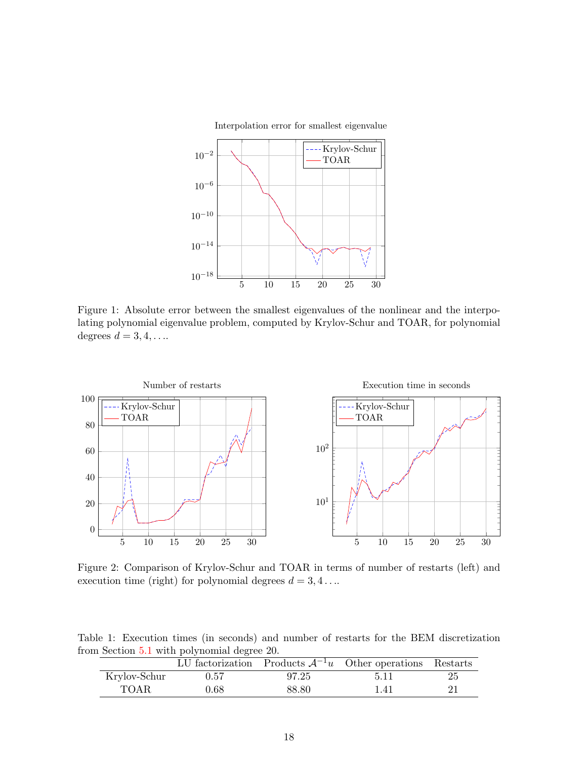

<span id="page-18-0"></span>Figure 1: Absolute error between the smallest eigenvalues of the nonlinear and the interpolating polynomial eigenvalue problem, computed by Krylov-Schur and TOAR, for polynomial degrees  $d = 3, 4, \ldots$ .



<span id="page-18-1"></span>Figure 2: Comparison of Krylov-Schur and TOAR in terms of number of restarts (left) and execution time (right) for polynomial degrees  $d = 3, 4, \ldots$ 

Table 1: Execution times (in seconds) and number of restarts for the BEM discretization from Section [5.1](#page-17-0) with polynomial degree 20.

<span id="page-18-2"></span>

|              |          |       | LU factorization Products $A^{-1}u$ Other operations Restarts |    |
|--------------|----------|-------|---------------------------------------------------------------|----|
| Krylov-Schur | 0.57     | 97.25 | 5.11                                                          | 25 |
| TOAR.        | $0.68\,$ | 88.80 | 1.41                                                          | 21 |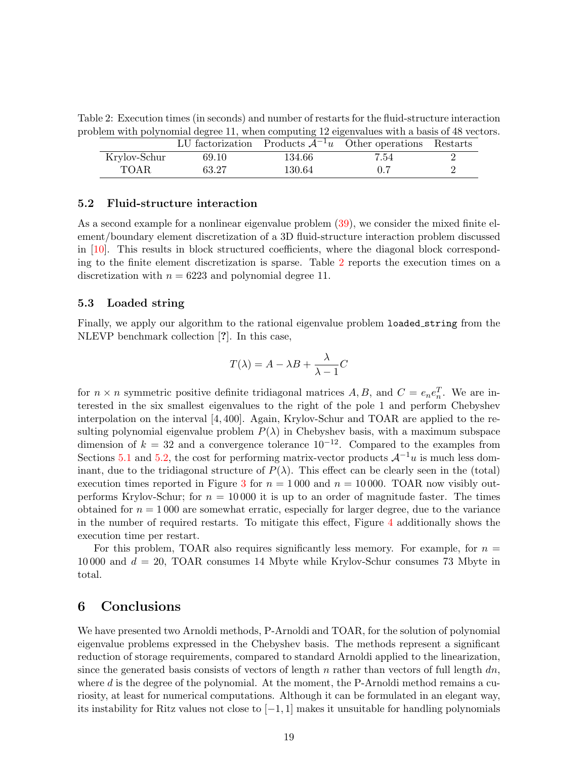Table 2: Execution times (in seconds) and number of restarts for the fluid-structure interaction problem with polynomial degree 11, when computing 12 eigenvalues with a basis of 48 vectors.

<span id="page-19-0"></span>

|              |       |        | LU factorization Products $A^{-1}u$ Other operations Restarts |  |
|--------------|-------|--------|---------------------------------------------------------------|--|
| Krylov-Schur | 69.10 | 134.66 | 7.54                                                          |  |
| TOAR         | 63.27 | 130.64 |                                                               |  |

## <span id="page-19-1"></span>5.2 Fluid-structure interaction

As a second example for a nonlinear eigenvalue problem [\(39\)](#page-16-1), we consider the mixed finite element/boundary element discretization of a 3D fluid-structure interaction problem discussed in [\[10\]](#page-22-14). This results in block structured coefficients, where the diagonal block corresponding to the finite element discretization is sparse. Table [2](#page-19-0) reports the execution times on a discretization with  $n = 6223$  and polynomial degree 11.

#### 5.3 Loaded string

Finally, we apply our algorithm to the rational eigenvalue problem loaded string from the NLEVP benchmark collection [?]. In this case,

$$
T(\lambda) = A - \lambda B + \frac{\lambda}{\lambda - 1}C
$$

for  $n \times n$  symmetric positive definite tridiagonal matrices  $A, B$ , and  $C = e_n e_n^T$ . We are interested in the six smallest eigenvalues to the right of the pole 1 and perform Chebyshev interpolation on the interval [4, 400]. Again, Krylov-Schur and TOAR are applied to the resulting polynomial eigenvalue problem  $P(\lambda)$  in Chebyshev basis, with a maximum subspace dimension of  $k = 32$  and a convergence tolerance  $10^{-12}$ . Compared to the examples from Sections [5.1](#page-17-0) and [5.2,](#page-19-1) the cost for performing matrix-vector products  $\mathcal{A}^{-1}u$  is much less dominant, due to the tridiagonal structure of  $P(\lambda)$ . This effect can be clearly seen in the (total) execution times reported in Figure [3](#page-20-0) for  $n = 1000$  and  $n = 10000$ . TOAR now visibly outperforms Krylov-Schur; for  $n = 10000$  it is up to an order of magnitude faster. The times obtained for  $n = 1000$  are somewhat erratic, especially for larger degree, due to the variance in the number of required restarts. To mitigate this effect, Figure [4](#page-20-1) additionally shows the execution time per restart.

For this problem, TOAR also requires significantly less memory. For example, for  $n =$ 10 000 and  $d = 20$ , TOAR consumes 14 Mbyte while Krylov-Schur consumes 73 Mbyte in total.

# 6 Conclusions

We have presented two Arnoldi methods, P-Arnoldi and TOAR, for the solution of polynomial eigenvalue problems expressed in the Chebyshev basis. The methods represent a significant reduction of storage requirements, compared to standard Arnoldi applied to the linearization, since the generated basis consists of vectors of length n rather than vectors of full length  $dn$ , where  $d$  is the degree of the polynomial. At the moment, the P-Arnoldi method remains a curiosity, at least for numerical computations. Although it can be formulated in an elegant way, its instability for Ritz values not close to  $[-1, 1]$  makes it unsuitable for handling polynomials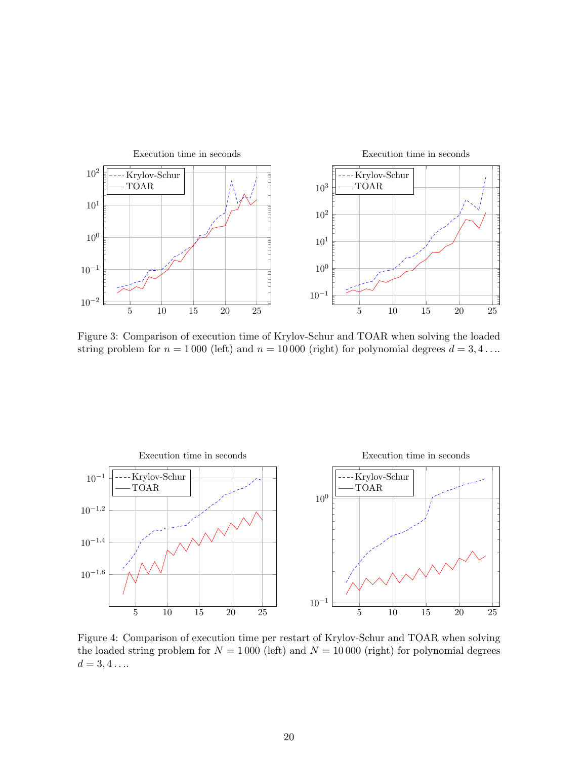

<span id="page-20-0"></span>Figure 3: Comparison of execution time of Krylov-Schur and TOAR when solving the loaded string problem for  $n = 1000$  (left) and  $n = 10000$  (right) for polynomial degrees  $d = 3, 4...$ 



<span id="page-20-1"></span>Figure 4: Comparison of execution time per restart of Krylov-Schur and TOAR when solving the loaded string problem for  $N = 1000$  (left) and  $N = 10000$  (right) for polynomial degrees  $d = 3, 4 \ldots$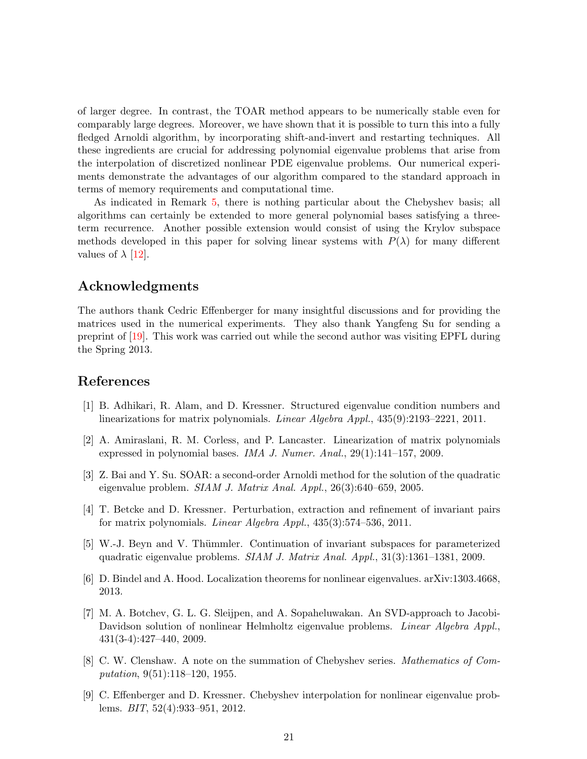of larger degree. In contrast, the TOAR method appears to be numerically stable even for comparably large degrees. Moreover, we have shown that it is possible to turn this into a fully fledged Arnoldi algorithm, by incorporating shift-and-invert and restarting techniques. All these ingredients are crucial for addressing polynomial eigenvalue problems that arise from the interpolation of discretized nonlinear PDE eigenvalue problems. Our numerical experiments demonstrate the advantages of our algorithm compared to the standard approach in terms of memory requirements and computational time.

As indicated in Remark [5,](#page-16-2) there is nothing particular about the Chebyshev basis; all algorithms can certainly be extended to more general polynomial bases satisfying a threeterm recurrence. Another possible extension would consist of using the Krylov subspace methods developed in this paper for solving linear systems with  $P(\lambda)$  for many different values of  $\lambda$  [\[12\]](#page-22-15).

# Acknowledgments

The authors thank Cedric Effenberger for many insightful discussions and for providing the matrices used in the numerical experiments. They also thank Yangfeng Su for sending a preprint of [\[19\]](#page-22-7). This work was carried out while the second author was visiting EPFL during the Spring 2013.

# <span id="page-21-0"></span>References

- [1] B. Adhikari, R. Alam, and D. Kressner. Structured eigenvalue condition numbers and linearizations for matrix polynomials. Linear Algebra Appl., 435(9):2193–2221, 2011.
- <span id="page-21-5"></span>[2] A. Amiraslani, R. M. Corless, and P. Lancaster. Linearization of matrix polynomials expressed in polynomial bases. IMA J. Numer. Anal., 29(1):141–157, 2009.
- <span id="page-21-1"></span>[3] Z. Bai and Y. Su. SOAR: a second-order Arnoldi method for the solution of the quadratic eigenvalue problem. SIAM J. Matrix Anal. Appl., 26(3):640–659, 2005.
- <span id="page-21-7"></span><span id="page-21-6"></span>[4] T. Betcke and D. Kressner. Perturbation, extraction and refinement of invariant pairs for matrix polynomials. Linear Algebra Appl., 435(3):574–536, 2011.
- <span id="page-21-2"></span>[5] W.-J. Beyn and V. Thümmler. Continuation of invariant subspaces for parameterized quadratic eigenvalue problems. SIAM J. Matrix Anal. Appl., 31(3):1361–1381, 2009.
- <span id="page-21-3"></span>[6] D. Bindel and A. Hood. Localization theorems for nonlinear eigenvalues. arXiv:1303.4668, 2013.
- [7] M. A. Botchev, G. L. G. Sleijpen, and A. Sopaheluwakan. An SVD-approach to Jacobi-Davidson solution of nonlinear Helmholtz eigenvalue problems. *Linear Algebra Appl.*, 431(3-4):427–440, 2009.
- <span id="page-21-8"></span>[8] C. W. Clenshaw. A note on the summation of Chebyshev series. Mathematics of Computation, 9(51):118–120, 1955.
- <span id="page-21-4"></span>[9] C. Effenberger and D. Kressner. Chebyshev interpolation for nonlinear eigenvalue problems. BIT, 52(4):933–951, 2012.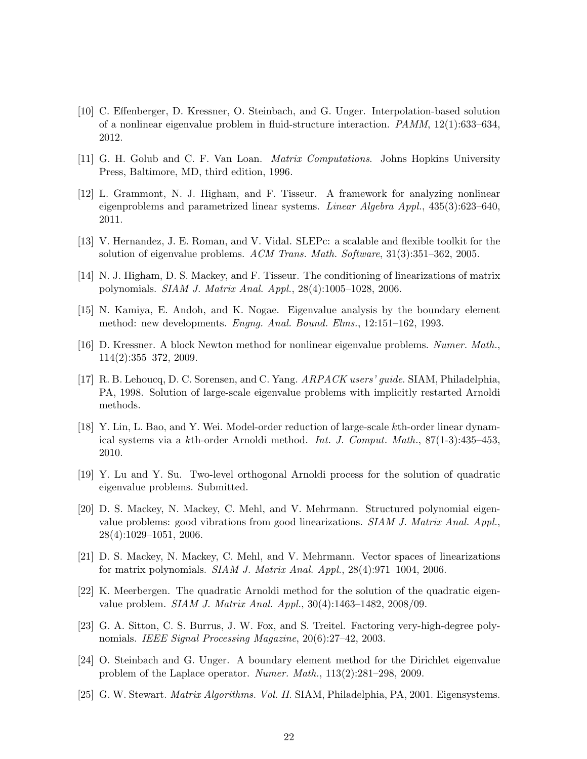- <span id="page-22-14"></span>[10] C. Effenberger, D. Kressner, O. Steinbach, and G. Unger. Interpolation-based solution of a nonlinear eigenvalue problem in fluid-structure interaction. PAMM, 12(1):633–634, 2012.
- <span id="page-22-15"></span><span id="page-22-0"></span>[11] G. H. Golub and C. F. Van Loan. Matrix Computations. Johns Hopkins University Press, Baltimore, MD, third edition, 1996.
- [12] L. Grammont, N. J. Higham, and F. Tisseur. A framework for analyzing nonlinear eigenproblems and parametrized linear systems. Linear Algebra Appl., 435(3):623–640, 2011.
- <span id="page-22-12"></span><span id="page-22-3"></span>[13] V. Hernandez, J. E. Roman, and V. Vidal. SLEPc: a scalable and flexible toolkit for the solution of eigenvalue problems. ACM Trans. Math. Software, 31(3):351–362, 2005.
- <span id="page-22-8"></span>[14] N. J. Higham, D. S. Mackey, and F. Tisseur. The conditioning of linearizations of matrix polynomials. SIAM J. Matrix Anal. Appl., 28(4):1005–1028, 2006.
- <span id="page-22-10"></span>[15] N. Kamiya, E. Andoh, and K. Nogae. Eigenvalue analysis by the boundary element method: new developments. Engng. Anal. Bound. Elms., 12:151–162, 1993.
- [16] D. Kressner. A block Newton method for nonlinear eigenvalue problems. Numer. Math., 114(2):355–372, 2009.
- <span id="page-22-11"></span>[17] R. B. Lehoucq, D. C. Sorensen, and C. Yang. ARPACK users' guide. SIAM, Philadelphia, PA, 1998. Solution of large-scale eigenvalue problems with implicitly restarted Arnoldi methods.
- <span id="page-22-5"></span>[18] Y. Lin, L. Bao, and Y. Wei. Model-order reduction of large-scale kth-order linear dynamical systems via a kth-order Arnoldi method. Int. J. Comput. Math., 87(1-3):435–453, 2010.
- <span id="page-22-7"></span><span id="page-22-2"></span>[19] Y. Lu and Y. Su. Two-level orthogonal Arnoldi process for the solution of quadratic eigenvalue problems. Submitted.
- [20] D. S. Mackey, N. Mackey, C. Mehl, and V. Mehrmann. Structured polynomial eigenvalue problems: good vibrations from good linearizations. SIAM J. Matrix Anal. Appl., 28(4):1029–1051, 2006.
- <span id="page-22-4"></span><span id="page-22-1"></span>[21] D. S. Mackey, N. Mackey, C. Mehl, and V. Mehrmann. Vector spaces of linearizations for matrix polynomials. SIAM J. Matrix Anal. Appl., 28(4):971–1004, 2006.
- [22] K. Meerbergen. The quadratic Arnoldi method for the solution of the quadratic eigenvalue problem. SIAM J. Matrix Anal. Appl., 30(4):1463–1482, 2008/09.
- <span id="page-22-9"></span>[23] G. A. Sitton, C. S. Burrus, J. W. Fox, and S. Treitel. Factoring very-high-degree polynomials. IEEE Signal Processing Magazine, 20(6):27–42, 2003.
- <span id="page-22-13"></span>[24] O. Steinbach and G. Unger. A boundary element method for the Dirichlet eigenvalue problem of the Laplace operator. Numer. Math., 113(2):281–298, 2009.
- <span id="page-22-6"></span>[25] G. W. Stewart. *Matrix Algorithms. Vol. II.* SIAM, Philadelphia, PA, 2001. Eigensystems.